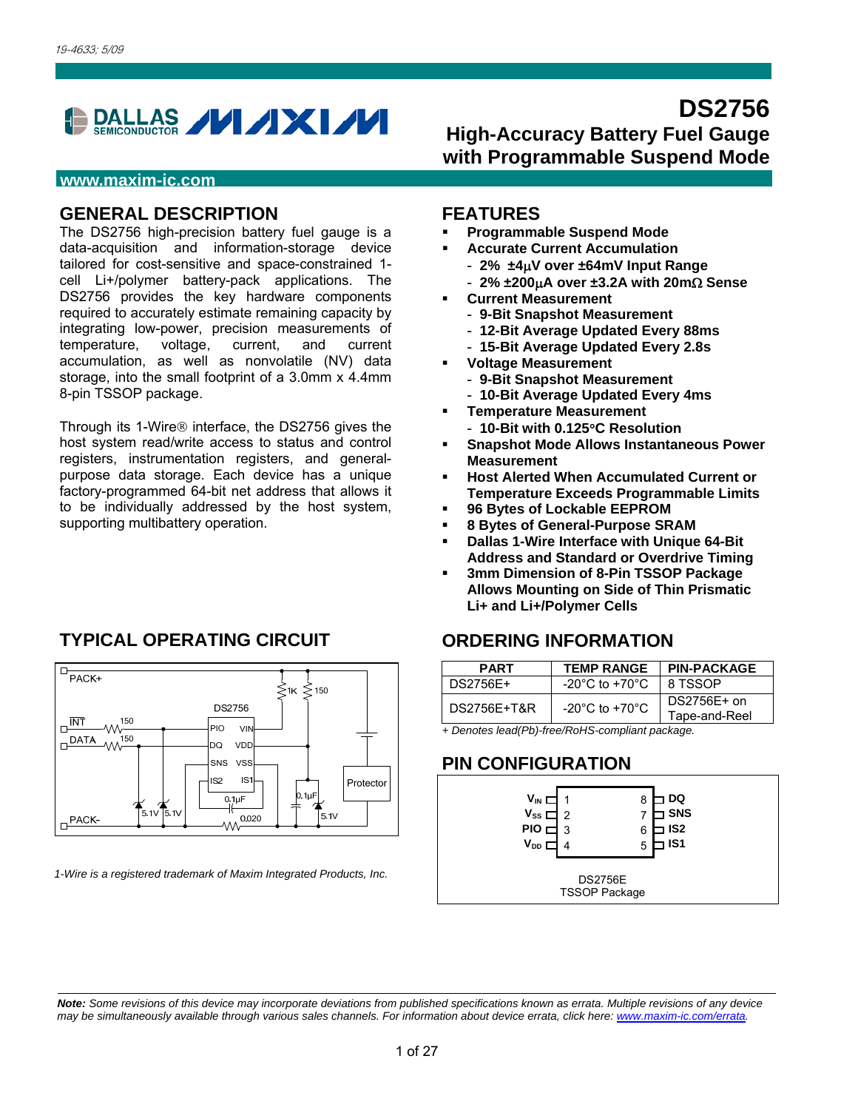

#### **www.maxim-ic.com**

#### **GENERAL DESCRIPTION**

The DS2756 high-precision battery fuel gauge is a data-acquisition and information-storage device tailored for cost-sensitive and space-constrained 1 cell Li+/polymer battery-pack applications. The DS2756 provides the key hardware components required to accurately estimate remaining capacity by integrating low-power, precision measurements of temperature, voltage, current, and current accumulation, as well as nonvolatile (NV) data storage, into the small footprint of a 3.0mm x 4.4mm 8-pin TSSOP package.

Through its 1-Wire<sup>®</sup> interface, the DS2756 gives the host system read/write access to status and control registers, instrumentation registers, and generalpurpose data storage. Each device has a unique factory-programmed 64-bit net address that allows it to be individually addressed by the host system, supporting multibattery operation.

### **TYPICAL OPERATING CIRCUIT**



*1-Wire is a registered trademark of Maxim Integrated Products, Inc.* 

# **DS2756 High-Accuracy Battery Fuel Gauge with Programmable Suspend Mode**

#### **FEATURES**

- **Programmable Suspend Mode**
- **Accurate Current Accumulation** 
	- **2% ±4V over ±64mV Input Range**
	- **2% ±200A over ±3.2A with 20m Sense**
- **Current Measurement** 
	- **9-Bit Snapshot Measurement**
	- **12-Bit Average Updated Every 88ms**
	- **15-Bit Average Updated Every 2.8s**
- **Voltage Measurement** 
	- **9-Bit Snapshot Measurement**
	- **10-Bit Average Updated Every 4ms**
- **Temperature Measurement**
- **10-Bit with 0.125C Resolution**
- **Snapshot Mode Allows Instantaneous Power Measurement**
- **Host Alerted When Accumulated Current or Temperature Exceeds Programmable Limits**
- **96 Bytes of Lockable EEPROM**
- **8 Bytes of General-Purpose SRAM**
- **Dallas 1-Wire Interface with Unique 64-Bit Address and Standard or Overdrive Timing**
- **3mm Dimension of 8-Pin TSSOP Package Allows Mounting on Side of Thin Prismatic Li+ and Li+/Polymer Cells**

### **ORDERING INFORMATION**

| <b>PART</b> | <b>TEMP RANGE</b>                    | <b>PIN-PACKAGE</b>           |
|-------------|--------------------------------------|------------------------------|
| DS2756F+    | $-20^{\circ}$ C to $+70^{\circ}$ C   | 8 TSSOP                      |
| DS2756E+T&R | -20 $^{\circ}$ C to +70 $^{\circ}$ C | DS2756E+ on<br>Tape-and-Reel |

*+ Denotes lead(Pb)-free/RoHS-compliant package.* 

### **PIN CONFIGURATION**



*Note: Some revisions of this device may incorporate deviations from published specifications known as errata. Multiple revisions of any device may be simultaneously available through various sales channels. For information about device errata, click here: www.maxim-ic.com/errata.*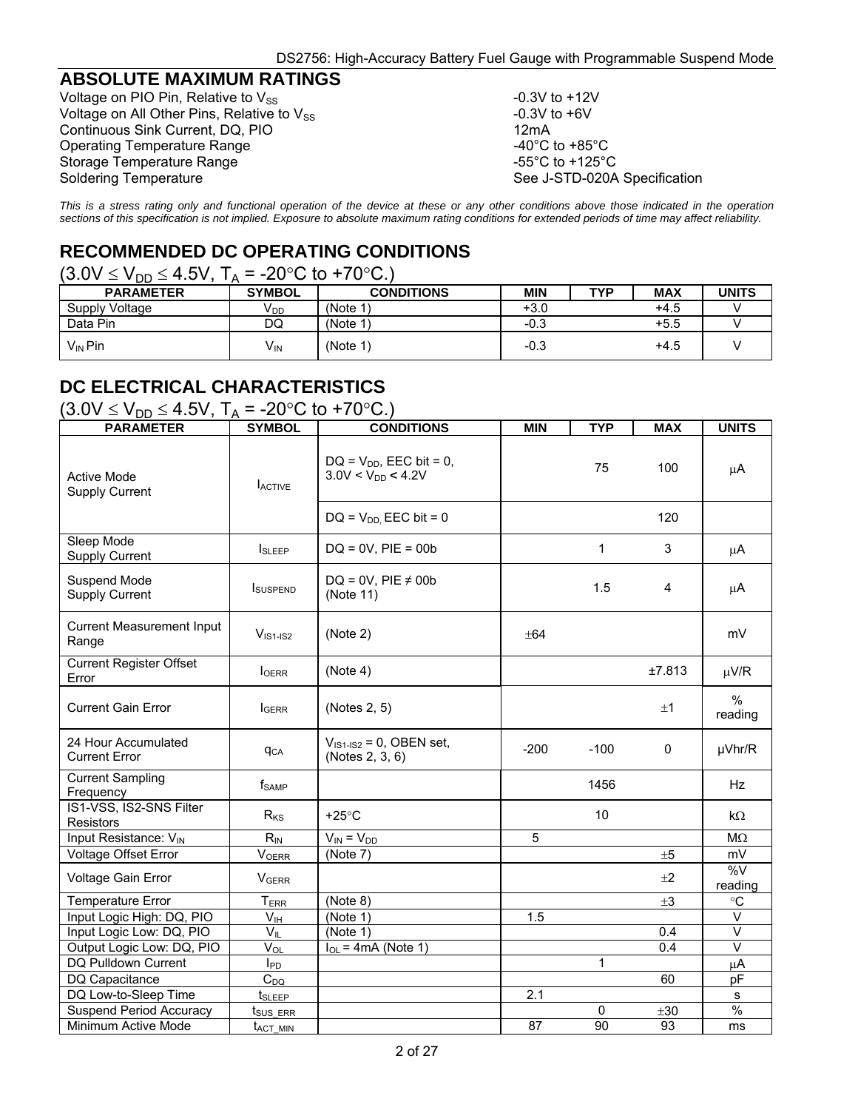#### **ABSOLUTE MAXIMUM RATINGS**

Voltage on PIO Pin, Relative to  $V_{SS}$ <br>Voltage on All Other Pins, Relative to  $V_{SS}$  -0.3V to +6V Voltage on All Other Pins, Relative to  $V_{SS}$  -0.3V to +6.3V to +6.3V to +6.3V to +60 to +60 to +60 to +60 to +60 to +60 to +60 to +60 to +60 to +60 to +60 to +60 to +60 to +60 to +60 to +60 to +60 to +60 to +60 to +60 to Continuous Sink Current, DQ, PIO Operating Temperature Range<br>
Storage Temperature Range<br>  $-40^{\circ}$ C to +125°C<br>
-55°C to +125°C Storage Temperature Range Soldering Temperature See J-STD-020A Specification

*This is a stress rating only and functional operation of the device at these or any other conditions above those indicated in the operation sections of this specification is not implied. Exposure to absolute maximum rating conditions for extended periods of time may affect reliability.*

# **RECOMMENDED DC OPERATING CONDITIONS**

#### $(3.0V \le V_{DD} \le 4.5V, T_A = -20^{\circ}C$  to +70 °C.)

| <b>PARAMETER</b>      | <b>SYMBOL</b>   | <b>CONDITIONS</b> | MIN    | TVD | <b>MAX</b> | UNITS |
|-----------------------|-----------------|-------------------|--------|-----|------------|-------|
| <b>Supply Voltage</b> | V <sub>DD</sub> | (Note 1           | $+3.0$ |     | $+4.5$     |       |
| Data Pin              | DQ              | (Note 1           | $-0.3$ |     | $+5.5$     |       |
| $V_{\text{IN}}$ Pin   | $V_{IN}$        | (Note 1)          | $-0.3$ |     | $+4.5$     |       |

# **DC ELECTRICAL CHARACTERISTICS**

| $(3.0 \text{V} \leq \text{V}_{DD} \leq 4.5 \text{V}, T_A = -20^{\circ} \text{C}$ to +70°C.) |                        |                                                        |                  |            |            |                   |  |  |
|---------------------------------------------------------------------------------------------|------------------------|--------------------------------------------------------|------------------|------------|------------|-------------------|--|--|
| <b>PARAMETER</b>                                                                            | <b>SYMBOL</b>          | <b>CONDITIONS</b>                                      | <b>MIN</b>       | <b>TYP</b> | <b>MAX</b> | <b>UNITS</b>      |  |  |
| Active Mode<br><b>Supply Current</b>                                                        | <b>LACTIVE</b>         | $DQ = V_{DD}$ , EEC bit = 0,<br>$3.0V < V_{DD} < 4.2V$ |                  | 75         | 100        | μA                |  |  |
|                                                                                             |                        | $DQ = V_{DD}$ EEC bit = 0                              |                  |            | 120        |                   |  |  |
| Sleep Mode<br><b>Supply Current</b>                                                         | <b>I</b> SLEEP         | $DQ = 0V$ , $PIE = 00b$                                |                  | 1          | 3          | μA                |  |  |
| Suspend Mode<br><b>Supply Current</b>                                                       | <b>I</b> SUSPEND       | $DQ = 0V$ , PIE $\neq$ 00b<br>(Note 11)                |                  | 1.5        | 4          | μA                |  |  |
| <b>Current Measurement Input</b><br>Range                                                   | $VIS1-IS2$             | (Note 2)                                               | $\pm$ 64         |            |            | mV                |  |  |
| <b>Current Register Offset</b><br>Error                                                     | <b>I</b> OERR          | (Note 4)                                               |                  |            | ±7.813     | $\mu$ V/R         |  |  |
| <b>Current Gain Error</b>                                                                   | <b>IGERR</b>           | (Notes 2, 5)                                           |                  |            | ±1         | %<br>reading      |  |  |
| 24 Hour Accumulated<br><b>Current Error</b>                                                 | <b>q</b> <sub>CA</sub> | $V_{1S1-1S2} = 0$ , OBEN set,<br>(Notes 2, 3, 6)       | $-200$           | $-100$     | 0          | µVhr/R            |  |  |
| <b>Current Sampling</b><br>Frequency                                                        | $f_{\sf SAMP}$         |                                                        |                  | 1456       |            | Hz                |  |  |
| IS1-VSS, IS2-SNS Filter<br>Resistors                                                        | $R_{KS}$               | $+25^{\circ}$ C                                        |                  | 10         |            | $k\Omega$         |  |  |
| Input Resistance: V <sub>IN</sub>                                                           | $R_{IN}$               | $V_{IN} = V_{DD}$                                      | 5                |            |            | $M\Omega$         |  |  |
| Voltage Offset Error                                                                        | <b>VOERR</b>           | (Note 7)                                               |                  |            | ±5         | mV                |  |  |
| Voltage Gain Error                                                                          | <b>VGERR</b>           |                                                        |                  |            | ±2         | %V<br>reading     |  |  |
| <b>Temperature Error</b>                                                                    | $T_{ERR}$              | (Note 8)                                               |                  |            | $\pm 3$    | °C                |  |  |
| Input Logic High: DQ, PIO                                                                   | $V_{\text{IH}}$        | (Note 1)                                               | 1.5              |            |            | $\overline{\vee}$ |  |  |
| Input Logic Low: DQ, PIO                                                                    | $V_{IL}$               | (Note 1)                                               |                  |            | 0.4        | $\vee$            |  |  |
| Output Logic Low: DQ, PIO                                                                   | $V_{OL}$               | $I_{OL}$ = 4mA (Note 1)                                |                  |            | 0.4        | $\vee$            |  |  |
| DQ Pulldown Current                                                                         | $I_{PD}$               |                                                        |                  | 1          |            | μA                |  |  |
| DQ Capacitance                                                                              | $C_{DQ}$               |                                                        |                  |            | 60         | pF                |  |  |
| DQ Low-to-Sleep Time                                                                        | t <sub>SLEEP</sub>     |                                                        | $\overline{2.1}$ |            |            | s                 |  |  |
| Suspend Period Accuracy                                                                     | t <sub>sus Err</sub>   |                                                        |                  | 0          | ±30        | %                 |  |  |
| Minimum Active Mode                                                                         | t <sub>act min</sub>   |                                                        | 87               | 90         | 93         | ms                |  |  |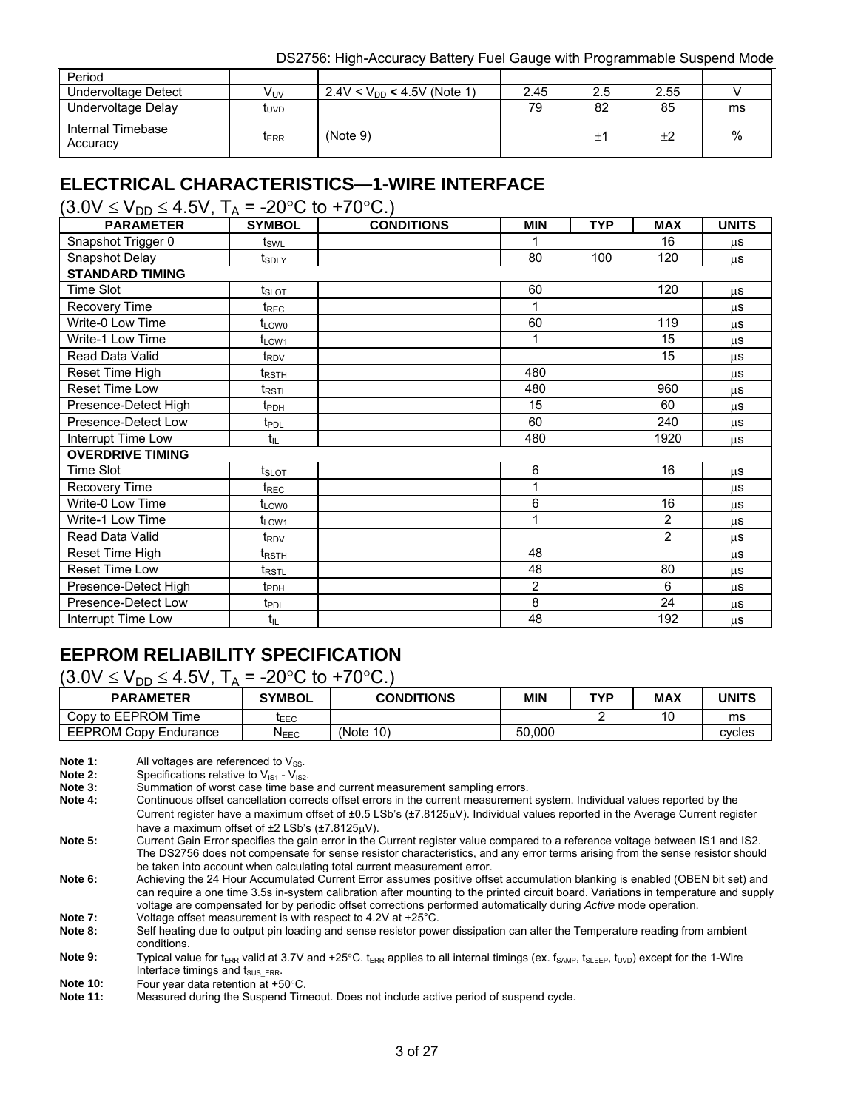| Period                        |              |                                 |      |     |      |    |
|-------------------------------|--------------|---------------------------------|------|-----|------|----|
| Undervoltage Detect           | Vuv          | $2.4V < V_{DD} < 4.5V$ (Note 1) | 2.45 | 2.5 | 2.55 |    |
| Undervoltage Delay            | โ∪∨D         |                                 | 79   | 82  | 85   | ms |
| Internal Timebase<br>Accuracy | <b>I</b> ERR | (Note 9)                        |      | ÷   | $+2$ | %  |

# **ELECTRICAL CHARACTERISTICS—1-WIRE INTERFACE**

 $(3.0 \text{V} \leq \text{V}_{\text{DD}} \leq 4.5 \text{V}$ , T<sub>A</sub> = -20<sup>o</sup>C to +70<sup>o</sup>C.)

| <b>PARAMETER</b>        | <b>SYMBOL</b>                   | <b>CONDITIONS</b> | <b>MIN</b> | <b>TYP</b> | <b>MAX</b>     | <b>UNITS</b> |
|-------------------------|---------------------------------|-------------------|------------|------------|----------------|--------------|
| Snapshot Trigger 0      | t <sub>sw∟</sub>                |                   |            |            | 16             | μS           |
| Snapshot Delay          | t <sub>SDLY</sub>               |                   | 80         | 100        | 120            | <b>us</b>    |
| <b>STANDARD TIMING</b>  |                                 |                   |            |            |                |              |
| Time Slot               | $t_{\scriptstyle\textrm{SLOT}}$ |                   | 60         |            | 120            | <b>us</b>    |
| Recovery Time           | $t_{\mathsf{REC}}$              |                   | 1          |            |                | <b>us</b>    |
| Write-0 Low Time        | t <sub>LOW0</sub>               |                   | 60         |            | 119            | <b>us</b>    |
| <b>Write-1 Low Time</b> | t <sub>LOW1</sub>               |                   | 1          |            | 15             | μS           |
| Read Data Valid         | t <sub>RDV</sub>                |                   |            |            | 15             | $\mu$ S      |
| Reset Time High         | $t_{\mathsf{RSTH}}$             |                   | 480        |            |                | μS           |
| Reset Time Low          | t <sub>rst</sub>                |                   | 480        |            | 960            | μS           |
| Presence-Detect High    | t <sub>PDH</sub>                |                   | 15         |            | 60             | μS           |
| Presence-Detect Low     | $t_{\text{PDL}}$                |                   | 60         |            | 240            | μS           |
| Interrupt Time Low      | $t_{IL}$                        |                   | 480        |            | 1920           | <b>us</b>    |
| <b>OVERDRIVE TIMING</b> |                                 |                   |            |            |                |              |
| <b>Time Slot</b>        | t <sub>slot</sub>               |                   | 6          |            | 16             | <b>us</b>    |
| Recovery Time           | $t_{\mathsf{REC}}$              |                   |            |            |                | μS           |
| Write-0 Low Time        | t <sub>LOW0</sub>               |                   | 6          |            | 16             | μS           |
| Write-1 Low Time        | $t_{LOW1}$                      |                   |            |            | $\overline{2}$ | μS           |
| Read Data Valid         | $t_{\mathsf{RDV}}$              |                   |            |            | $\overline{2}$ | <b>us</b>    |
| Reset Time High         | ${\rm t}_{\sf RSTH}$            |                   | 48         |            |                | μS           |
| Reset Time Low          | $t_{\text{RSTL}}$               |                   | 48         |            | 80             | <b>us</b>    |
| Presence-Detect High    | $t_{\text{PDH}}$                |                   | 2          |            | 6              | μS           |
| Presence-Detect Low     | t <sub>PDL</sub>                |                   | 8          |            | 24             | μS           |
| Interrupt Time Low      | $t_{IL}$                        |                   | 48         |            | 192            | μS           |

# **EEPROM RELIABILITY SPECIFICATION**

 $(3.0V \le V_{DD} \le 4.5V, T_A = -20°C$  to +70°C.)

| <b>PARAMETER</b>             | <b>SYMBOL</b>    | <b>CONDITIONS</b> | MIN    | TVO | <b>MAX</b> | UNITS  |
|------------------------------|------------------|-------------------|--------|-----|------------|--------|
| Copy to EEPROM Time          | <b>LEEC</b>      |                   |        |     | 10         | ms     |
| <b>EEPROM Copy Endurance</b> | $N_{\text{EEC}}$ | (Note 10)         | 50.000 |     |            | cvcles |

**Note 1:** All voltages are referenced to V<sub>SS</sub>.<br>**Note 2:** Specifications relative to V<sub>IS1</sub> - V<sub>IS2</sub>

**Note 2:** Specifications relative to  $V_{\text{IS1}}$  -  $V_{\text{IS2}}$ .<br>**Note 3:** Summation of worst case time base

**Note 3:** Summation of worst case time base and current measurement sampling errors.<br> **Note 4:** Continuous offset cancellation corrects offset errors in the current measurement

**Note 4:** Continuous offset cancellation corrects offset errors in the current measurement system. Individual values reported by the Current register have a maximum offset of  $\pm 0.5$  LSb's  $(\pm 7.8125 \mu V)$ . Individual values reported in the Average Current register have a maximum offset of  $\pm 2$  LSb's ( $\pm 7.8125$ uV).

**Note 10:** Four year data retention at +50°C.<br>**Note 11:** Measured during the Suspend Tin

**Note 5:** Current Gain Error specifies the gain error in the Current register value compared to a reference voltage between IS1 and IS2. The DS2756 does not compensate for sense resistor characteristics, and any error terms arising from the sense resistor should be taken into account when calculating total current measurement error.

**Note 6:** Achieving the 24 Hour Accumulated Current Error assumes positive offset accumulation blanking is enabled (OBEN bit set) and can require a one time 3.5s in-system calibration after mounting to the printed circuit board. Variations in temperature and supply voltage are compensated for by periodic offset corrections performed automatically during *Active* mode operation.

**Note 7:** Voltage offset measurement is with respect to 4.2V at +25°C.<br>Note 8: Self heating due to output pin loading and sense resistor now Self heating due to output pin loading and sense resistor power dissipation can alter the Temperature reading from ambient conditions.

Note 9: Typical value for t<sub>ERR</sub> valid at 3.7V and +25°C. t<sub>ERR</sub> applies to all internal timings (ex. f<sub>SAMP</sub>, t<sub>SLEEP</sub>, t<sub>UVD</sub>) except for the 1-Wire Interface timings and  $t_{SUS\_ERR}$ .

**Note 11:** Measured during the Suspend Timeout. Does not include active period of suspend cycle.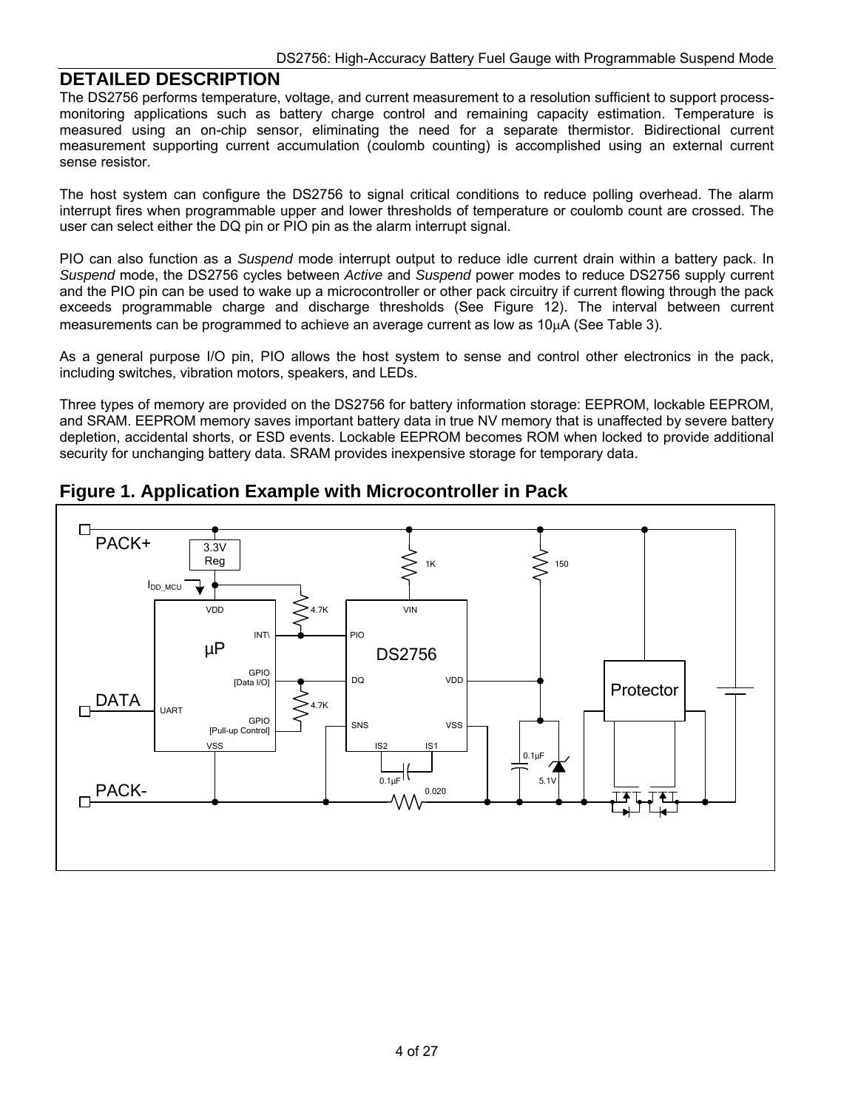#### **DETAILED DESCRIPTION**

The DS2756 performs temperature, voltage, and current measurement to a resolution sufficient to support processmonitoring applications such as battery charge control and remaining capacity estimation. Temperature is measured using an on-chip sensor, eliminating the need for a separate thermistor. Bidirectional current measurement supporting current accumulation (coulomb counting) is accomplished using an external current sense resistor.

The host system can configure the DS2756 to signal critical conditions to reduce polling overhead. The alarm interrupt fires when programmable upper and lower thresholds of temperature or coulomb count are crossed. The user can select either the DQ pin or PIO pin as the alarm interrupt signal.

PIO can also function as a *Suspend* mode interrupt output to reduce idle current drain within a battery pack. In *Suspend* mode, the DS2756 cycles between *Active* and *Suspend* power modes to reduce DS2756 supply current and the PIO pin can be used to wake up a microcontroller or other pack circuitry if current flowing through the pack exceeds programmable charge and discharge thresholds (See Figure 12). The interval between current measurements can be programmed to achieve an average current as low as 10uA (See Table 3).

As a general purpose I/O pin, PIO allows the host system to sense and control other electronics in the pack, including switches, vibration motors, speakers, and LEDs.

Three types of memory are provided on the DS2756 for battery information storage: EEPROM, lockable EEPROM, and SRAM. EEPROM memory saves important battery data in true NV memory that is unaffected by severe battery depletion, accidental shorts, or ESD events. Lockable EEPROM becomes ROM when locked to provide additional security for unchanging battery data. SRAM provides inexpensive storage for temporary data.



**Figure 1. Application Example with Microcontroller in Pack**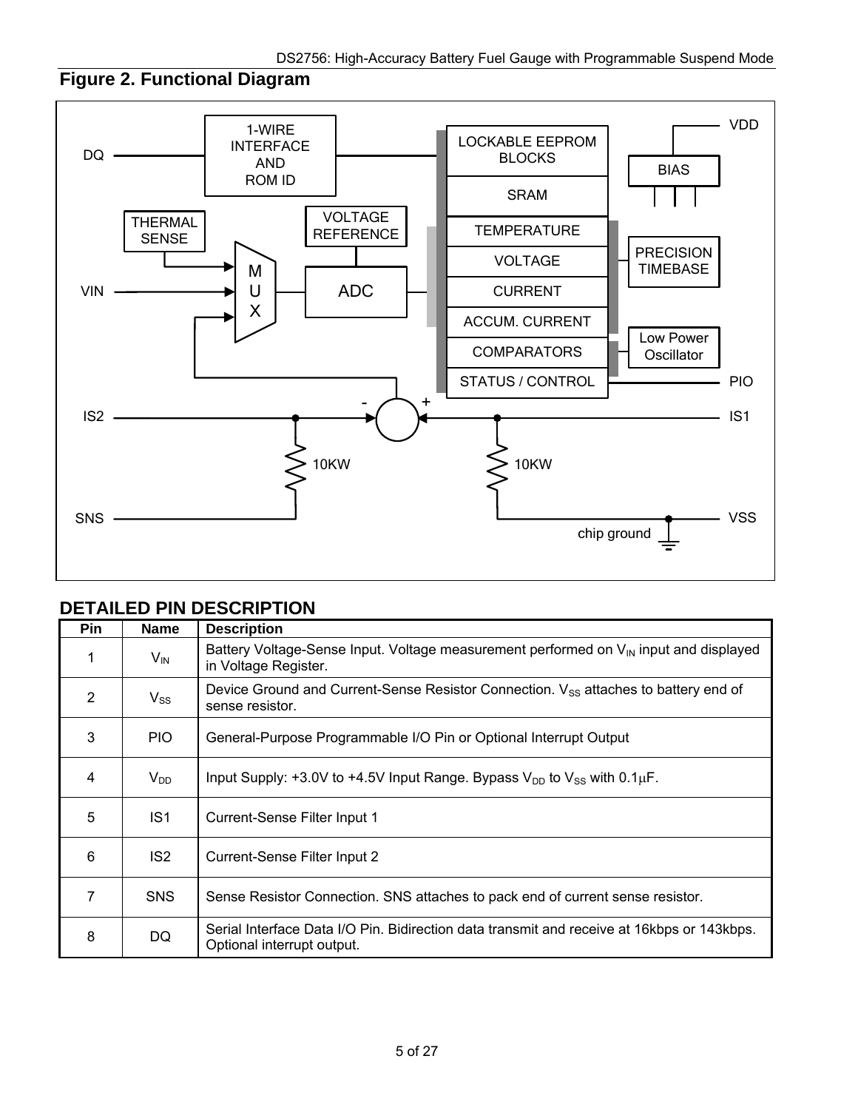# **Figure 2. Functional Diagram**



#### **DETAILED PIN DESCRIPTION**

| Pin            | <b>Name</b>     | <b>Description</b>                                                                                                        |
|----------------|-----------------|---------------------------------------------------------------------------------------------------------------------------|
|                | $V_{\text{IN}}$ | Battery Voltage-Sense Input. Voltage measurement performed on $V_{\text{IN}}$ input and displayed<br>in Voltage Register. |
| $\overline{2}$ | $V_{SS}$        | Device Ground and Current-Sense Resistor Connection. V <sub>SS</sub> attaches to battery end of<br>sense resistor.        |
| 3              | PIO.            | General-Purpose Programmable I/O Pin or Optional Interrupt Output                                                         |
| 4              | $V_{DD}$        | Input Supply: +3.0V to +4.5V Input Range. Bypass $V_{DD}$ to $V_{SS}$ with 0.1 $\mu$ F.                                   |
| 5              | IS <sub>1</sub> | Current-Sense Filter Input 1                                                                                              |
| 6              | IS <sub>2</sub> | Current-Sense Filter Input 2                                                                                              |
| 7              | <b>SNS</b>      | Sense Resistor Connection. SNS attaches to pack end of current sense resistor.                                            |
| 8              | <b>DQ</b>       | Serial Interface Data I/O Pin. Bidirection data transmit and receive at 16kbps or 143 kbps.<br>Optional interrupt output. |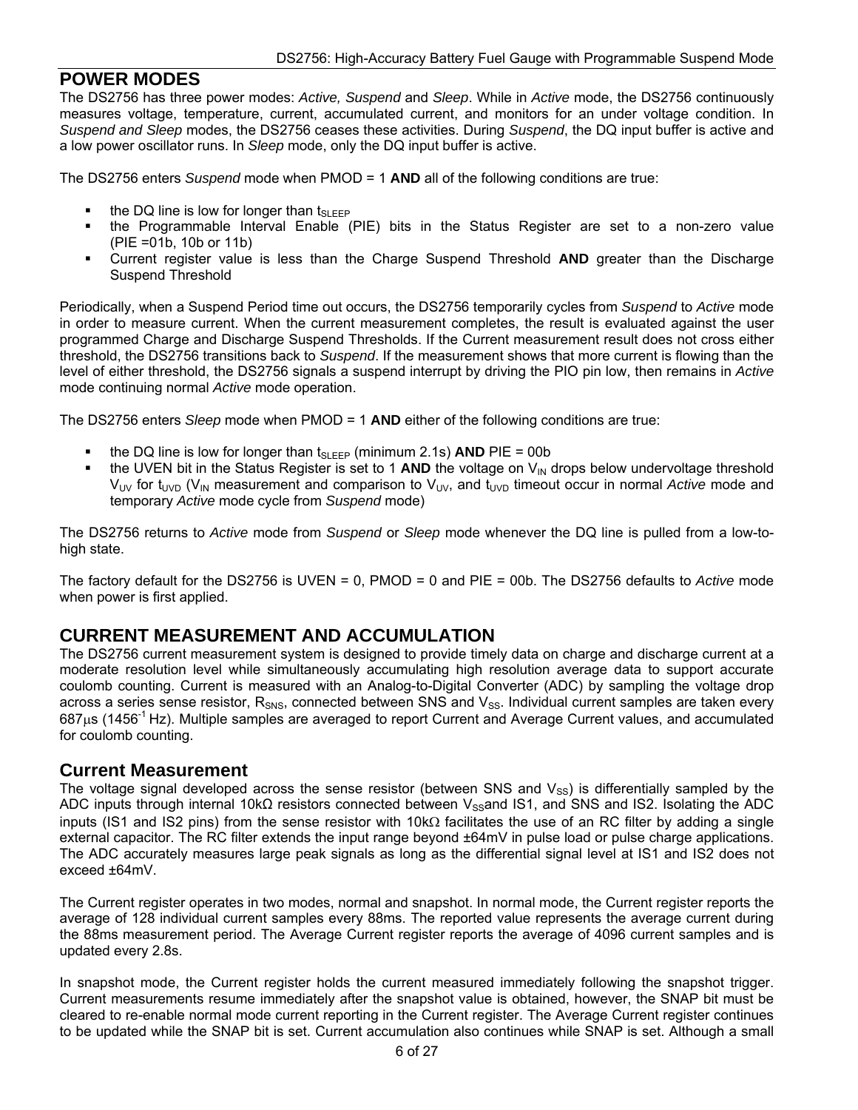#### **POWER MODES**

The DS2756 has three power modes: *Active, Suspend* and *Sleep*. While in *Active* mode, the DS2756 continuously measures voltage, temperature, current, accumulated current, and monitors for an under voltage condition. In *Suspend and Sleep* modes, the DS2756 ceases these activities. During *Suspend*, the DQ input buffer is active and a low power oscillator runs. In *Sleep* mode, only the DQ input buffer is active.

The DS2756 enters *Suspend* mode when PMOD = 1 **AND** all of the following conditions are true:

- $\blacksquare$  the DQ line is low for longer than tsuper
- the Programmable Interval Enable (PIE) bits in the Status Register are set to a non-zero value (PIE =01b, 10b or 11b)
- Current register value is less than the Charge Suspend Threshold **AND** greater than the Discharge Suspend Threshold

Periodically, when a Suspend Period time out occurs, the DS2756 temporarily cycles from *Suspend* to *Active* mode in order to measure current. When the current measurement completes, the result is evaluated against the user programmed Charge and Discharge Suspend Thresholds. If the Current measurement result does not cross either threshold, the DS2756 transitions back to *Suspend*. If the measurement shows that more current is flowing than the level of either threshold, the DS2756 signals a suspend interrupt by driving the PIO pin low, then remains in *Active* mode continuing normal *Active* mode operation.

The DS2756 enters *Sleep* mode when PMOD = 1 **AND** either of the following conditions are true:

- the DQ line is low for longer than  $t_{SLEEP}$  (minimum 2.1s) **AND** PIE = 00b<br>the UVEN bit in the Status Register is set to 1 **AND** the voltage on V<sub>ty</sub>
- the UVEN bit in the Status Register is set to 1 AND the voltage on  $V_{\text{IN}}$  drops below undervoltage threshold V<sub>UV</sub> for t<sub>UVD</sub> (V<sub>IN</sub> measurement and comparison to V<sub>UV</sub>, and t<sub>UVD</sub> timeout occur in normal *Active* mode and temporary *Active* mode cycle from *Suspend* mode)

The DS2756 returns to *Active* mode from *Suspend* or *Sleep* mode whenever the DQ line is pulled from a low-tohigh state.

The factory default for the DS2756 is UVEN = 0, PMOD = 0 and PIE = 00b. The DS2756 defaults to *Active* mode when power is first applied.

### **CURRENT MEASUREMENT AND ACCUMULATION**

The DS2756 current measurement system is designed to provide timely data on charge and discharge current at a moderate resolution level while simultaneously accumulating high resolution average data to support accurate coulomb counting. Current is measured with an Analog-to-Digital Converter (ADC) by sampling the voltage drop across a series sense resistor, R<sub>SNS</sub>, connected between SNS and V<sub>SS</sub>. Individual current samples are taken every 687us (1456<sup>-1</sup> Hz). Multiple samples are averaged to report Current and Average Current values, and accumulated for coulomb counting.

#### **Current Measurement**

The voltage signal developed across the sense resistor (between SNS and  $V_{SS}$ ) is differentially sampled by the ADC inputs through internal 10kΩ resistors connected between V<sub>SS</sub>and IS1, and SNS and IS2. Isolating the ADC inputs (IS1 and IS2 pins) from the sense resistor with 10k $\Omega$  facilitates the use of an RC filter by adding a single external capacitor. The RC filter extends the input range beyond ±64mV in pulse load or pulse charge applications. The ADC accurately measures large peak signals as long as the differential signal level at IS1 and IS2 does not exceed ±64mV.

The Current register operates in two modes, normal and snapshot. In normal mode, the Current register reports the average of 128 individual current samples every 88ms. The reported value represents the average current during the 88ms measurement period. The Average Current register reports the average of 4096 current samples and is updated every 2.8s.

In snapshot mode, the Current register holds the current measured immediately following the snapshot trigger. Current measurements resume immediately after the snapshot value is obtained, however, the SNAP bit must be cleared to re-enable normal mode current reporting in the Current register. The Average Current register continues to be updated while the SNAP bit is set. Current accumulation also continues while SNAP is set. Although a small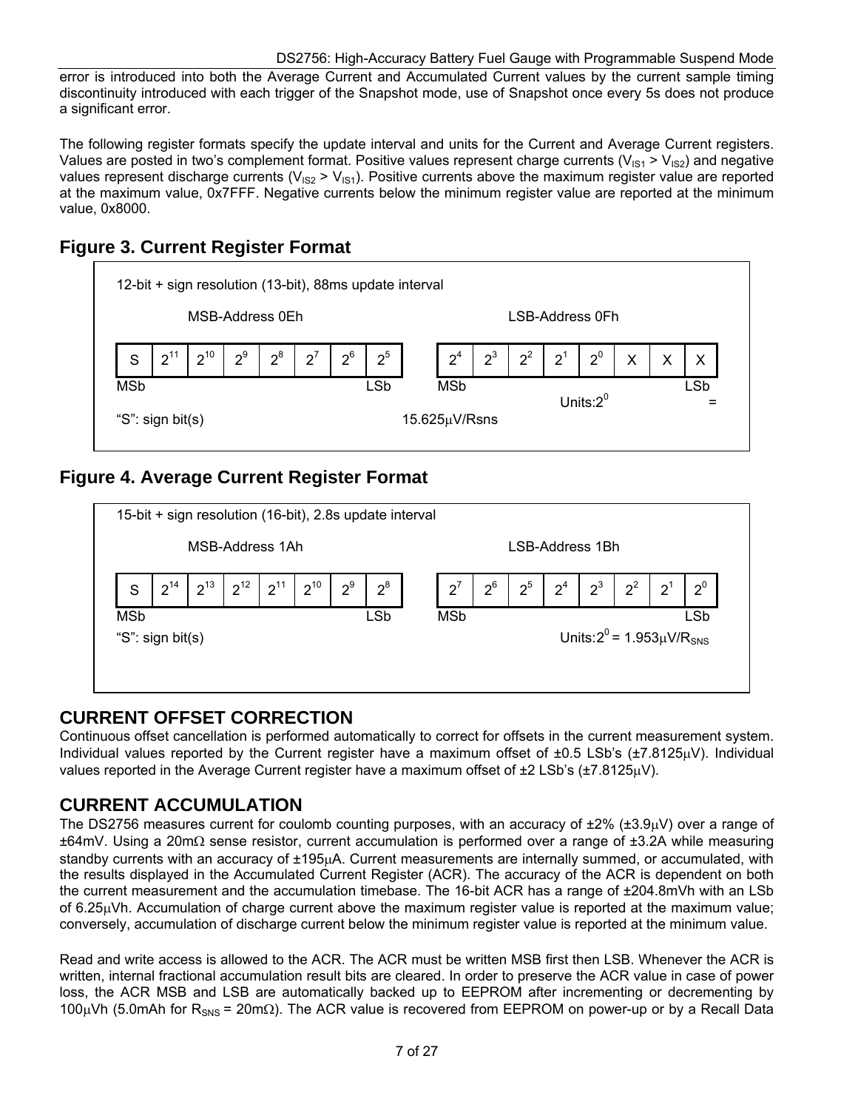error is introduced into both the Average Current and Accumulated Current values by the current sample timing discontinuity introduced with each trigger of the Snapshot mode, use of Snapshot once every 5s does not produce a significant error.

The following register formats specify the update interval and units for the Current and Average Current registers. Values are posted in two's complement format. Positive values represent charge currents ( $V_{1S1} > V_{1S2}$ ) and negative values represent discharge currents ( $V_{IS2}$  >  $V_{IS1}$ ). Positive currents above the maximum register value are reported at the maximum value, 0x7FFF. Negative currents below the minimum register value are reported at the minimum value, 0x8000.

## **Figure 3. Current Register Format**



## **Figure 4. Average Current Register Format**



### **CURRENT OFFSET CORRECTION**

Continuous offset cancellation is performed automatically to correct for offsets in the current measurement system. Individual values reported by the Current register have a maximum offset of  $\pm 0.5$  LSb's ( $\pm 7.8125 \mu V$ ). Individual values reported in the Average Current register have a maximum offset of  $\pm 2$  LSb's ( $\pm 7.8125 \mu V$ ).

### **CURRENT ACCUMULATION**

The DS2756 measures current for coulomb counting purposes, with an accuracy of  $\pm 2\%$  ( $\pm 3.9\mu$ V) over a range of  $\pm 64$ mV. Using a 20m $\Omega$  sense resistor, current accumulation is performed over a range of  $\pm 3.2$ A while measuring standby currents with an accuracy of ±195µA. Current measurements are internally summed, or accumulated, with the results displayed in the Accumulated Current Register (ACR). The accuracy of the ACR is dependent on both the current measurement and the accumulation timebase. The 16-bit ACR has a range of ±204.8mVh with an LSb of 6.25 $\mu$ Vh. Accumulation of charge current above the maximum register value is reported at the maximum value; conversely, accumulation of discharge current below the minimum register value is reported at the minimum value.

Read and write access is allowed to the ACR. The ACR must be written MSB first then LSB. Whenever the ACR is written, internal fractional accumulation result bits are cleared. In order to preserve the ACR value in case of power loss, the ACR MSB and LSB are automatically backed up to EEPROM after incrementing or decrementing by 100µVh (5.0mAh for R<sub>SNS</sub> = 20m $\Omega$ ). The ACR value is recovered from EEPROM on power-up or by a Recall Data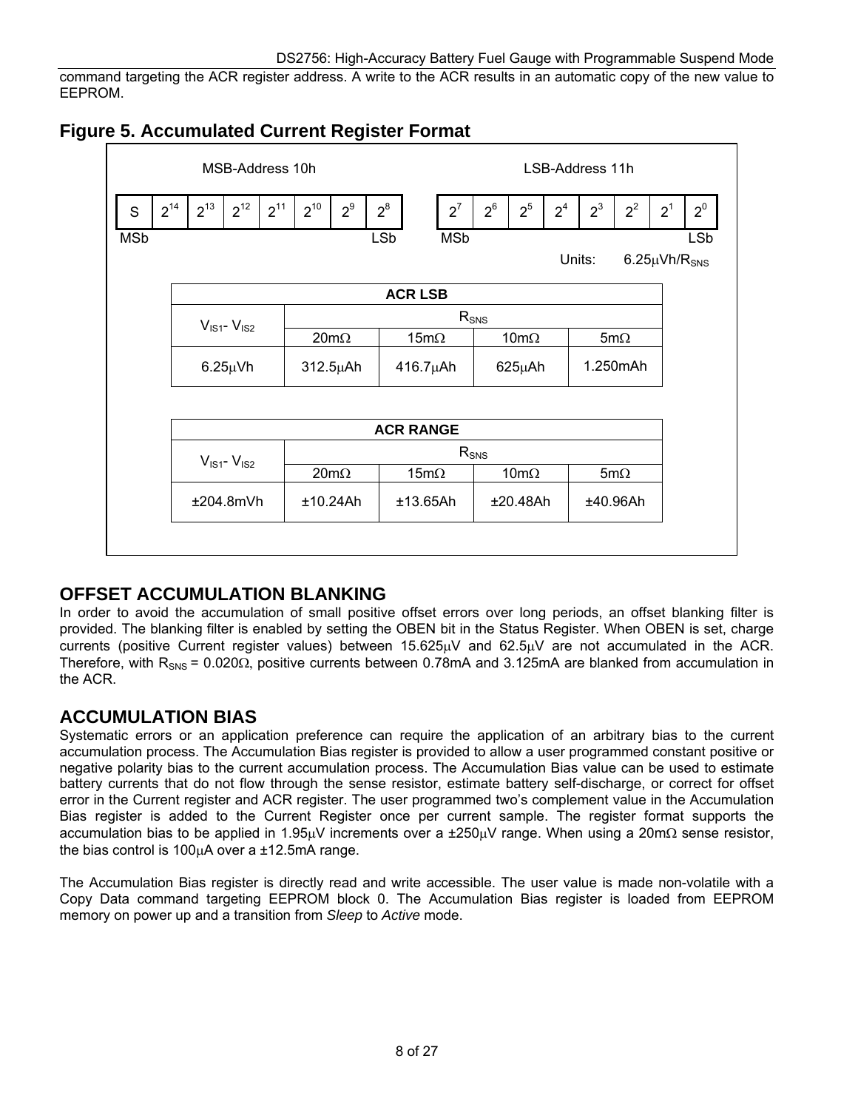command targeting the ACR register address. A write to the ACR results in an automatic copy of the new value to EEPROM.



## **Figure 5. Accumulated Current Register Format**

### **OFFSET ACCUMULATION BLANKING**

In order to avoid the accumulation of small positive offset errors over long periods, an offset blanking filter is provided. The blanking filter is enabled by setting the OBEN bit in the Status Register. When OBEN is set, charge currents (positive Current register values) between  $15.625\mu$ V and  $62.5\mu$ V are not accumulated in the ACR. Therefore, with  $R_{SNS}$  = 0.020 $\Omega$ , positive currents between 0.78mA and 3.125mA are blanked from accumulation in the ACR.

### **ACCUMULATION BIAS**

Systematic errors or an application preference can require the application of an arbitrary bias to the current accumulation process. The Accumulation Bias register is provided to allow a user programmed constant positive or negative polarity bias to the current accumulation process. The Accumulation Bias value can be used to estimate battery currents that do not flow through the sense resistor, estimate battery self-discharge, or correct for offset error in the Current register and ACR register. The user programmed two's complement value in the Accumulation Bias register is added to the Current Register once per current sample. The register format supports the accumulation bias to be applied in 1.95µV increments over a  $\pm 250$ µV range. When using a 20m $\Omega$  sense resistor, the bias control is 100 $\mu$ A over a  $\pm$ 12.5mA range.

The Accumulation Bias register is directly read and write accessible. The user value is made non-volatile with a Copy Data command targeting EEPROM block 0. The Accumulation Bias register is loaded from EEPROM memory on power up and a transition from *Sleep* to *Active* mode.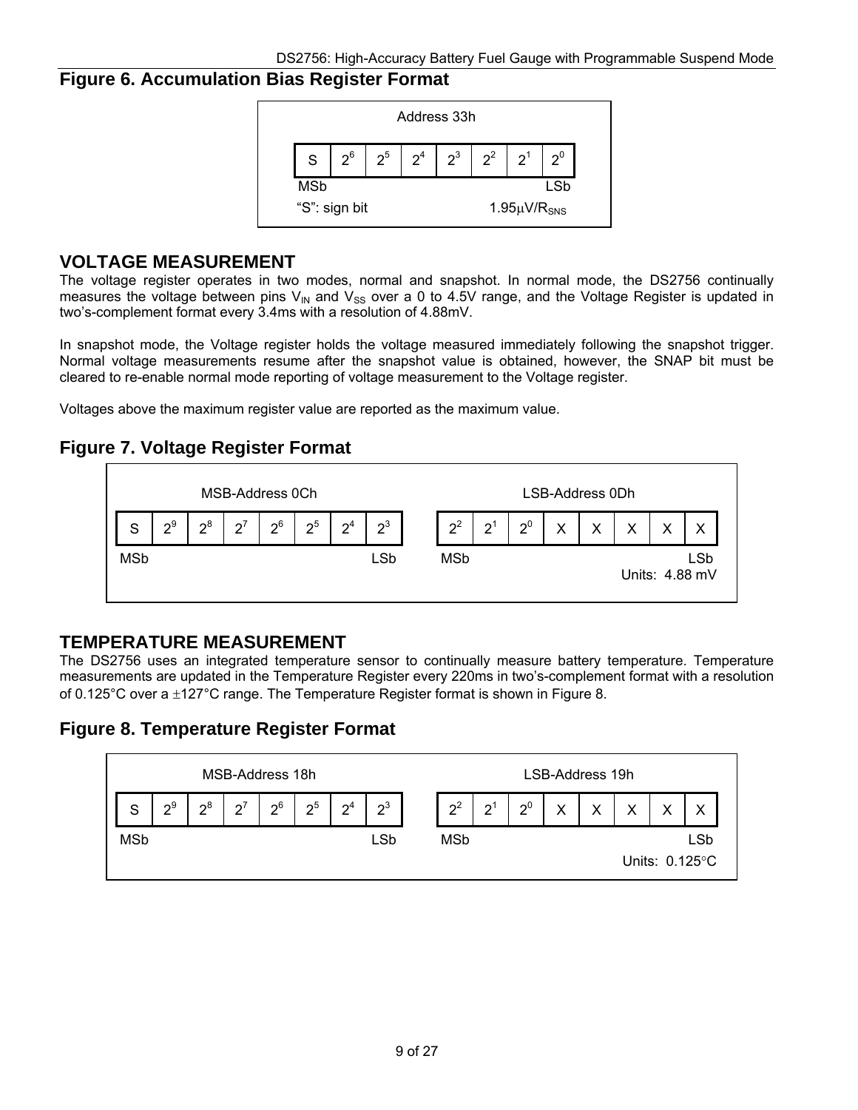### **Figure 6. Accumulation Bias Register Format**



#### **VOLTAGE MEASUREMENT**

The voltage register operates in two modes, normal and snapshot. In normal mode, the DS2756 continually measures the voltage between pins  $V_{IN}$  and  $V_{SS}$  over a 0 to 4.5V range, and the Voltage Register is updated in two's-complement format every 3.4ms with a resolution of 4.88mV.

In snapshot mode, the Voltage register holds the voltage measured immediately following the snapshot trigger. Normal voltage measurements resume after the snapshot value is obtained, however, the SNAP bit must be cleared to re-enable normal mode reporting of voltage measurement to the Voltage register.

Voltages above the maximum register value are reported as the maximum value.

## **Figure 7. Voltage Register Format**



### **TEMPERATURE MEASUREMENT**

The DS2756 uses an integrated temperature sensor to continually measure battery temperature. Temperature measurements are updated in the Temperature Register every 220ms in two's-complement format with a resolution of 0.125°C over a  $\pm$ 127°C range. The Temperature Register format is shown in Figure 8.

### **Figure 8. Temperature Register Format**

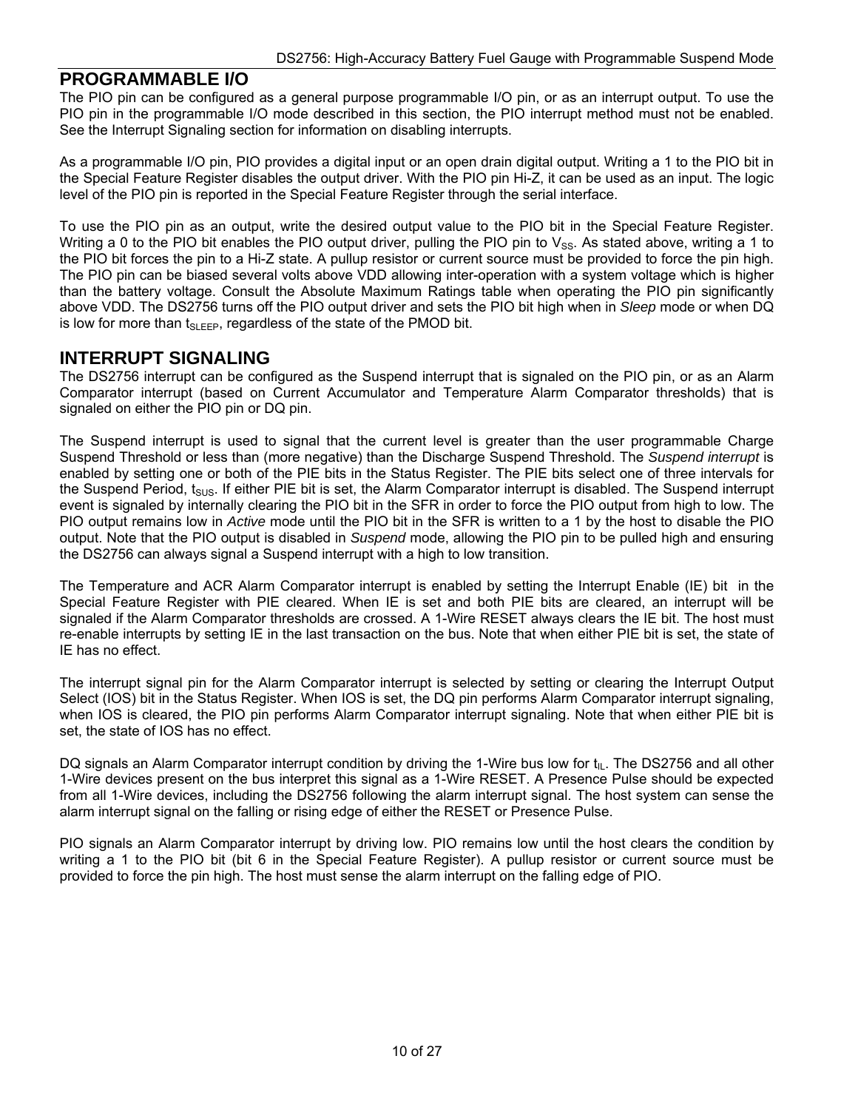#### **PROGRAMMABLE I/O**

The PIO pin can be configured as a general purpose programmable I/O pin, or as an interrupt output. To use the PIO pin in the programmable I/O mode described in this section, the PIO interrupt method must not be enabled. See the Interrupt Signaling section for information on disabling interrupts.

As a programmable I/O pin, PIO provides a digital input or an open drain digital output. Writing a 1 to the PIO bit in the Special Feature Register disables the output driver. With the PIO pin Hi-Z, it can be used as an input. The logic level of the PIO pin is reported in the Special Feature Register through the serial interface.

To use the PIO pin as an output, write the desired output value to the PIO bit in the Special Feature Register. Writing a 0 to the PIO bit enables the PIO output driver, pulling the PIO pin to  $V_{SS}$ . As stated above, writing a 1 to the PIO bit forces the pin to a Hi-Z state. A pullup resistor or current source must be provided to force the pin high. The PIO pin can be biased several volts above VDD allowing inter-operation with a system voltage which is higher than the battery voltage. Consult the Absolute Maximum Ratings table when operating the PIO pin significantly above VDD. The DS2756 turns off the PIO output driver and sets the PIO bit high when in *Sleep* mode or when DQ is low for more than  $t_{SLEEP}$ , regardless of the state of the PMOD bit.

#### **INTERRUPT SIGNALING**

The DS2756 interrupt can be configured as the Suspend interrupt that is signaled on the PIO pin, or as an Alarm Comparator interrupt (based on Current Accumulator and Temperature Alarm Comparator thresholds) that is signaled on either the PIO pin or DQ pin.

The Suspend interrupt is used to signal that the current level is greater than the user programmable Charge Suspend Threshold or less than (more negative) than the Discharge Suspend Threshold. The *Suspend interrupt* is enabled by setting one or both of the PIE bits in the Status Register. The PIE bits select one of three intervals for the Suspend Period,  $t_{SUS}$ . If either PIE bit is set, the Alarm Comparator interrupt is disabled. The Suspend interrupt event is signaled by internally clearing the PIO bit in the SFR in order to force the PIO output from high to low. The PIO output remains low in *Active* mode until the PIO bit in the SFR is written to a 1 by the host to disable the PIO output. Note that the PIO output is disabled in *Suspend* mode, allowing the PIO pin to be pulled high and ensuring the DS2756 can always signal a Suspend interrupt with a high to low transition.

The Temperature and ACR Alarm Comparator interrupt is enabled by setting the Interrupt Enable (IE) bit in the Special Feature Register with PIE cleared. When IE is set and both PIE bits are cleared, an interrupt will be signaled if the Alarm Comparator thresholds are crossed. A 1-Wire RESET always clears the IE bit. The host must re-enable interrupts by setting IE in the last transaction on the bus. Note that when either PIE bit is set, the state of IE has no effect.

The interrupt signal pin for the Alarm Comparator interrupt is selected by setting or clearing the Interrupt Output Select (IOS) bit in the Status Register. When IOS is set, the DQ pin performs Alarm Comparator interrupt signaling, when IOS is cleared, the PIO pin performs Alarm Comparator interrupt signaling. Note that when either PIE bit is set, the state of IOS has no effect.

DQ signals an Alarm Comparator interrupt condition by driving the 1-Wire bus low for  $t_{IL}$ . The DS2756 and all other 1-Wire devices present on the bus interpret this signal as a 1-Wire RESET. A Presence Pulse should be expected from all 1-Wire devices, including the DS2756 following the alarm interrupt signal. The host system can sense the alarm interrupt signal on the falling or rising edge of either the RESET or Presence Pulse.

PIO signals an Alarm Comparator interrupt by driving low. PIO remains low until the host clears the condition by writing a 1 to the PIO bit (bit 6 in the Special Feature Register). A pullup resistor or current source must be provided to force the pin high. The host must sense the alarm interrupt on the falling edge of PIO.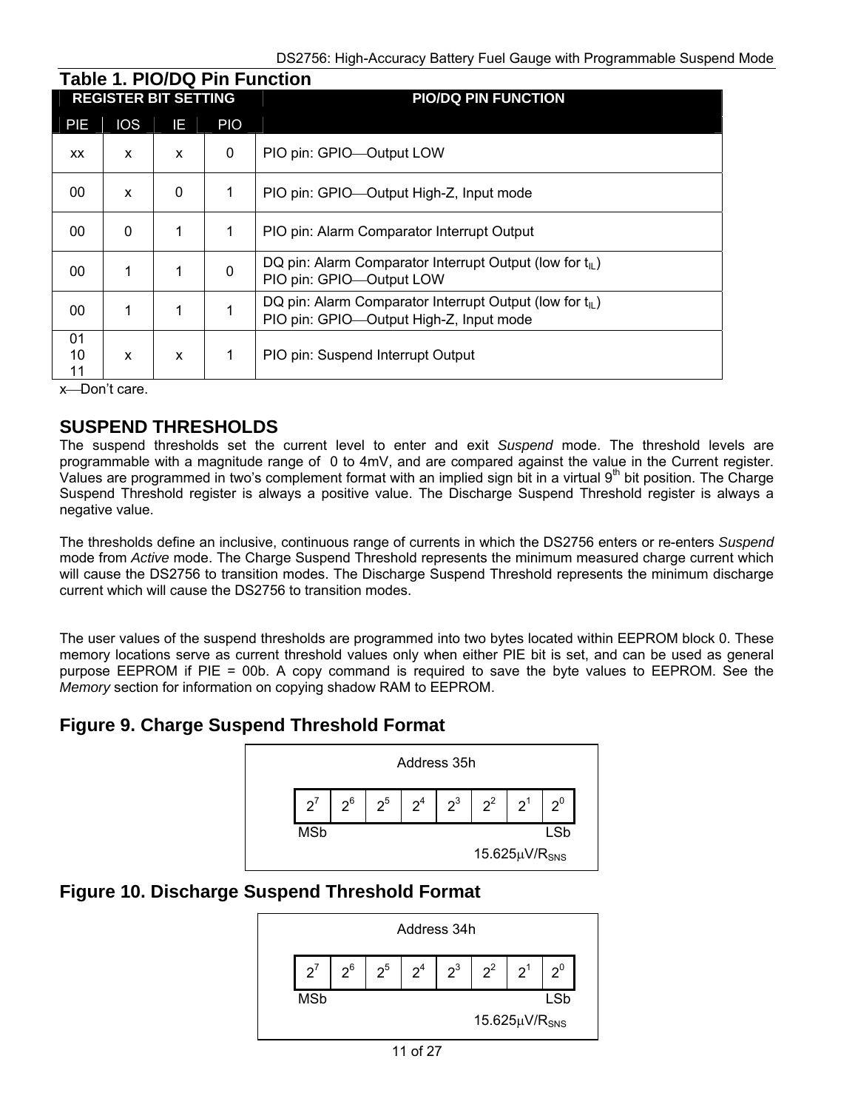|                | <b>REGISTER BIT SETTING</b> |              |             | <b>PIO/DQ PIN FUNCTION</b>                                                                                      |
|----------------|-----------------------------|--------------|-------------|-----------------------------------------------------------------------------------------------------------------|
| PIE            | <b>IOS</b>                  | IE.          | <b>PIO</b>  |                                                                                                                 |
| <b>XX</b>      | X                           | X            | 0           | PIO pin: GPIO—Output LOW                                                                                        |
| 00             | X                           | $\mathbf{0}$ | 1           | PIO pin: GPIO—Output High-Z, Input mode                                                                         |
| 00             | $\mathbf{0}$                | 1            | 1           | PIO pin: Alarm Comparator Interrupt Output                                                                      |
| $00 \,$        | 1                           | 1            | $\mathbf 0$ | DQ pin: Alarm Comparator Interrupt Output (low for $t_{\parallel}$ )<br>PIO pin: GPIO-Output LOW                |
| 00             | 1                           | 1            |             | DQ pin: Alarm Comparator Interrupt Output (low for $t_{\parallel}$ )<br>PIO pin: GPIO-Output High-Z, Input mode |
| 01<br>10<br>11 | X                           | X            | 1           | PIO pin: Suspend Interrupt Output                                                                               |

x-Don't care.

### **SUSPEND THRESHOLDS**

The suspend thresholds set the current level to enter and exit *Suspend* mode. The threshold levels are programmable with a magnitude range of 0 to 4mV, and are compared against the value in the Current register. Values are programmed in two's complement format with an implied sign bit in a virtual  $9<sup>th</sup>$  bit position. The Charge Suspend Threshold register is always a positive value. The Discharge Suspend Threshold register is always a negative value.

The thresholds define an inclusive, continuous range of currents in which the DS2756 enters or re-enters *Suspend* mode from *Active* mode. The Charge Suspend Threshold represents the minimum measured charge current which will cause the DS2756 to transition modes. The Discharge Suspend Threshold represents the minimum discharge current which will cause the DS2756 to transition modes.

The user values of the suspend thresholds are programmed into two bytes located within EEPROM block 0. These memory locations serve as current threshold values only when either PIE bit is set, and can be used as general purpose EEPROM if PIE = 00b. A copy command is required to save the byte values to EEPROM. See the *Memory* section for information on copying shadow RAM to EEPROM.

### **Figure 9. Charge Suspend Threshold Format**



### **Figure 10. Discharge Suspend Threshold Format**

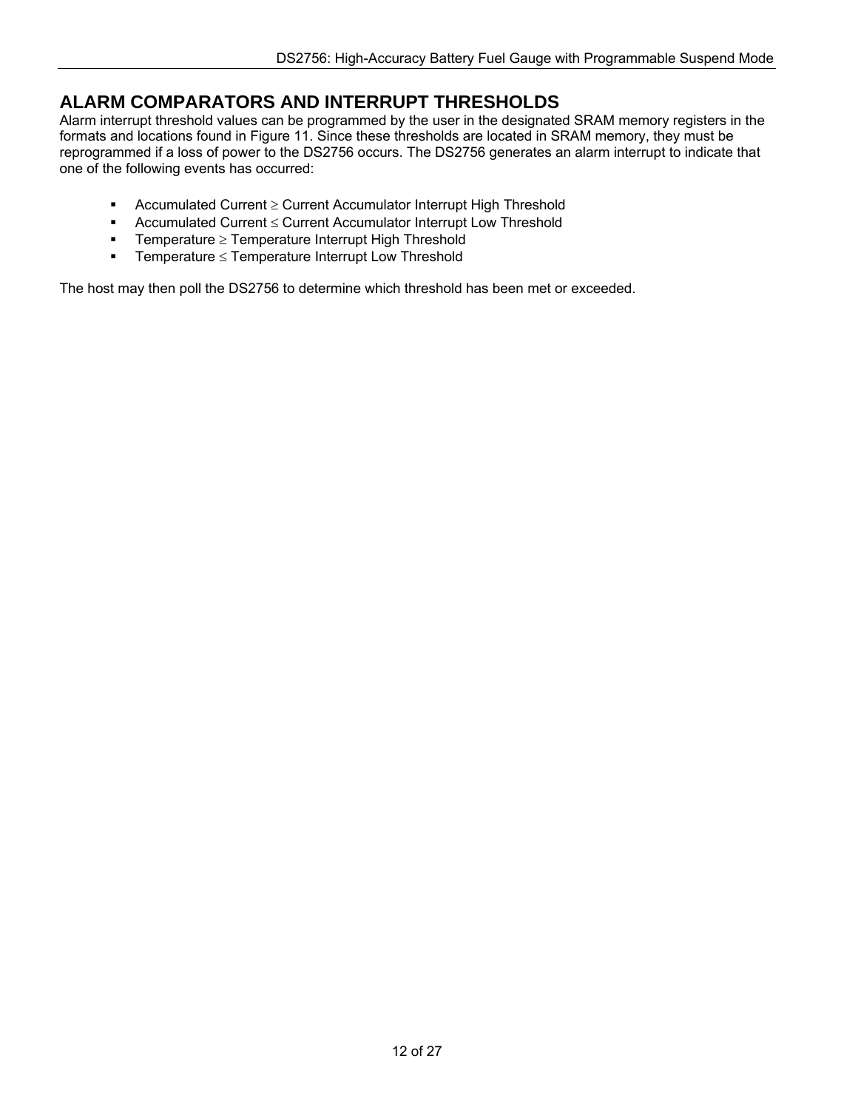### **ALARM COMPARATORS AND INTERRUPT THRESHOLDS**

Alarm interrupt threshold values can be programmed by the user in the designated SRAM memory registers in the formats and locations found in Figure 11. Since these thresholds are located in SRAM memory, they must be reprogrammed if a loss of power to the DS2756 occurs. The DS2756 generates an alarm interrupt to indicate that one of the following events has occurred:

- **-** Accumulated Current  $\geq$  Current Accumulator Interrupt High Threshold
- **Accumulated Current**  $\leq$  **Current Accumulator Interrupt Low Threshold**
- **Temperature**  $\geq$  **Temperature Interrupt High Threshold**
- **Fig. 3** Temperature  $\leq$  Temperature Interrupt Low Threshold

The host may then poll the DS2756 to determine which threshold has been met or exceeded.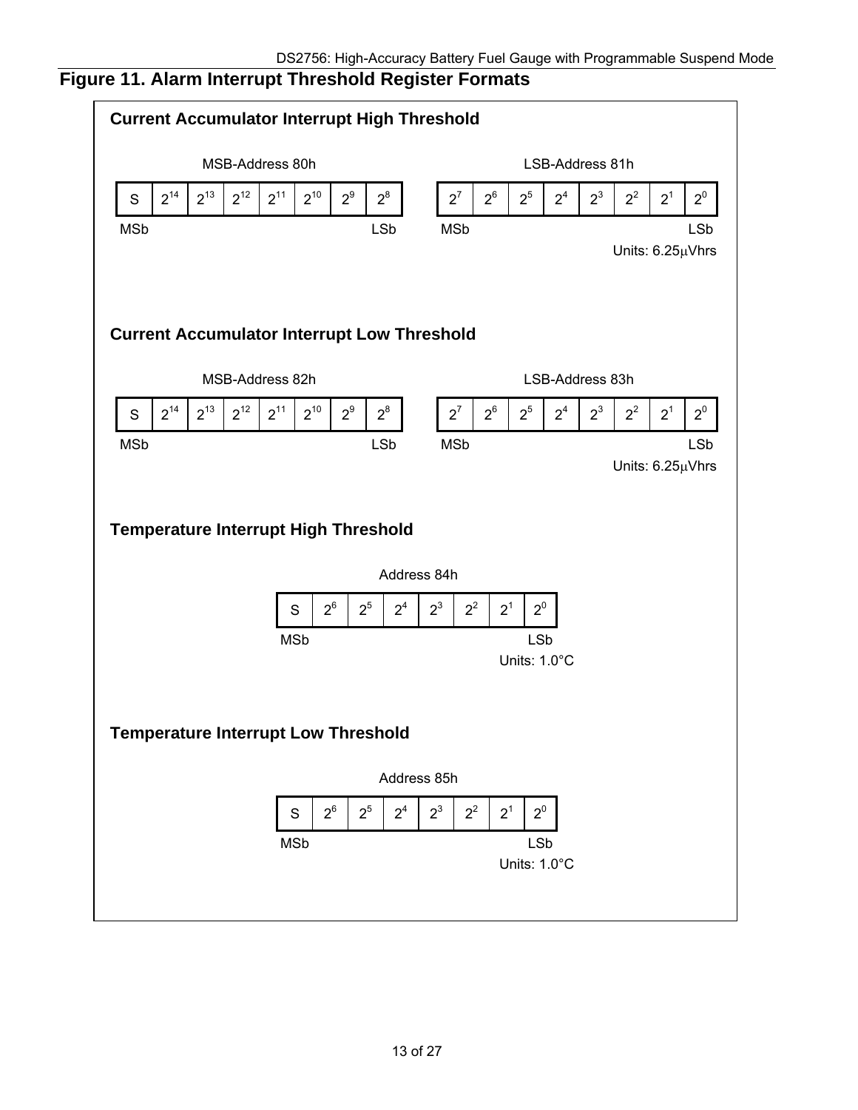# **Figure 11. Alarm Interrupt Threshold Register Formats**

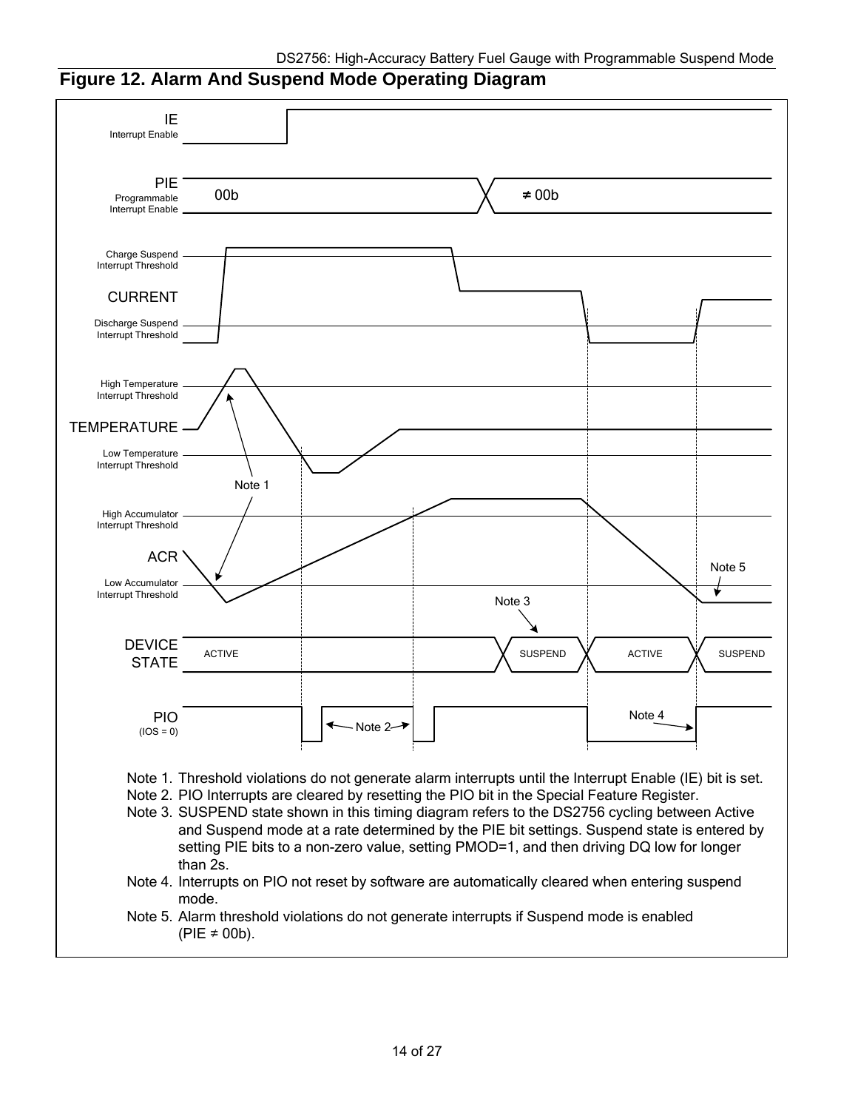



Note 5. Alarm threshold violations do not generate interrupts if Suspend mode is enabled  $(PIE \neq 00b)$ .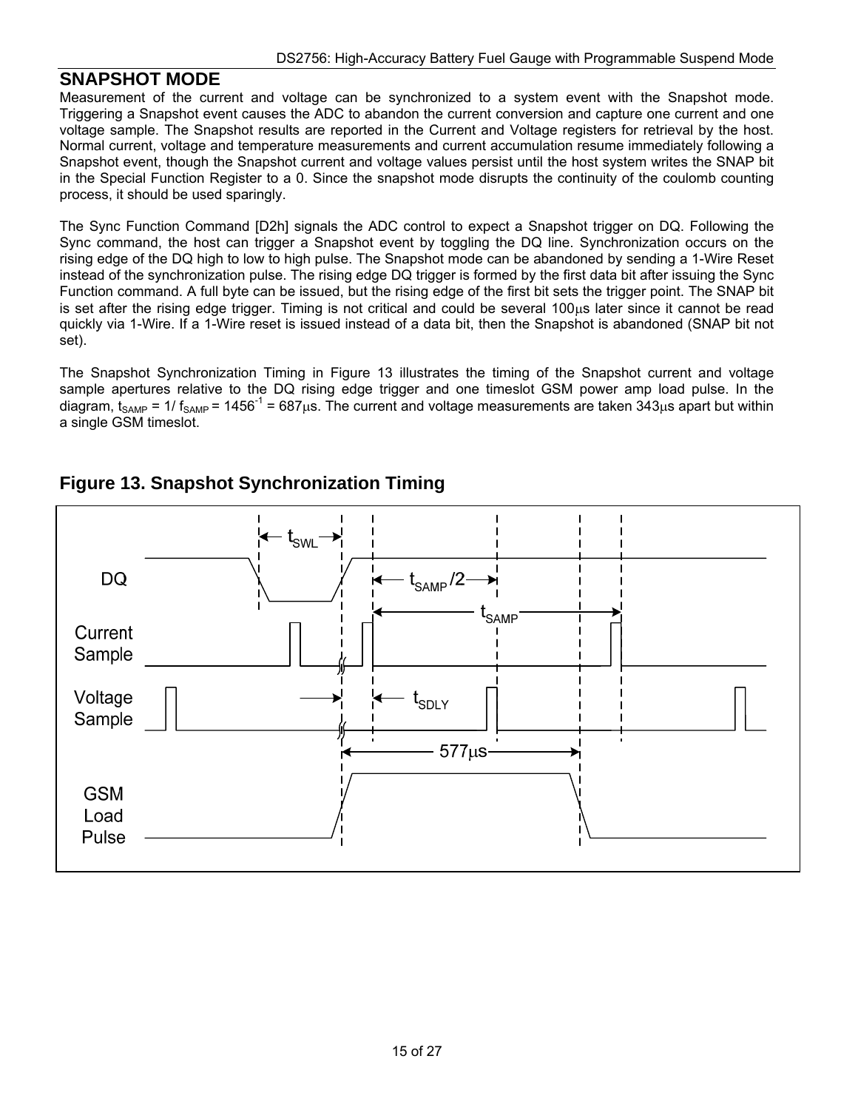#### **SNAPSHOT MODE**

Measurement of the current and voltage can be synchronized to a system event with the Snapshot mode. Triggering a Snapshot event causes the ADC to abandon the current conversion and capture one current and one voltage sample. The Snapshot results are reported in the Current and Voltage registers for retrieval by the host. Normal current, voltage and temperature measurements and current accumulation resume immediately following a Snapshot event, though the Snapshot current and voltage values persist until the host system writes the SNAP bit in the Special Function Register to a 0. Since the snapshot mode disrupts the continuity of the coulomb counting process, it should be used sparingly.

The Sync Function Command [D2h] signals the ADC control to expect a Snapshot trigger on DQ. Following the Sync command, the host can trigger a Snapshot event by toggling the DQ line. Synchronization occurs on the rising edge of the DQ high to low to high pulse. The Snapshot mode can be abandoned by sending a 1-Wire Reset instead of the synchronization pulse. The rising edge DQ trigger is formed by the first data bit after issuing the Sync Function command. A full byte can be issued, but the rising edge of the first bit sets the trigger point. The SNAP bit is set after the rising edge trigger. Timing is not critical and could be several  $100\mu s$  later since it cannot be read quickly via 1-Wire. If a 1-Wire reset is issued instead of a data bit, then the Snapshot is abandoned (SNAP bit not set).

The Snapshot Synchronization Timing in Figure 13 illustrates the timing of the Snapshot current and voltage sample apertures relative to the DQ rising edge trigger and one timeslot GSM power amp load pulse. In the diagram,  $t_{SAMP}$  = 1/  $f_{SAMP}$  = 1456<sup>-1</sup> = 687 $\mu$ s. The current and voltage measurements are taken 343 $\mu$ s apart but within a single GSM timeslot.



### **Figure 13. Snapshot Synchronization Timing**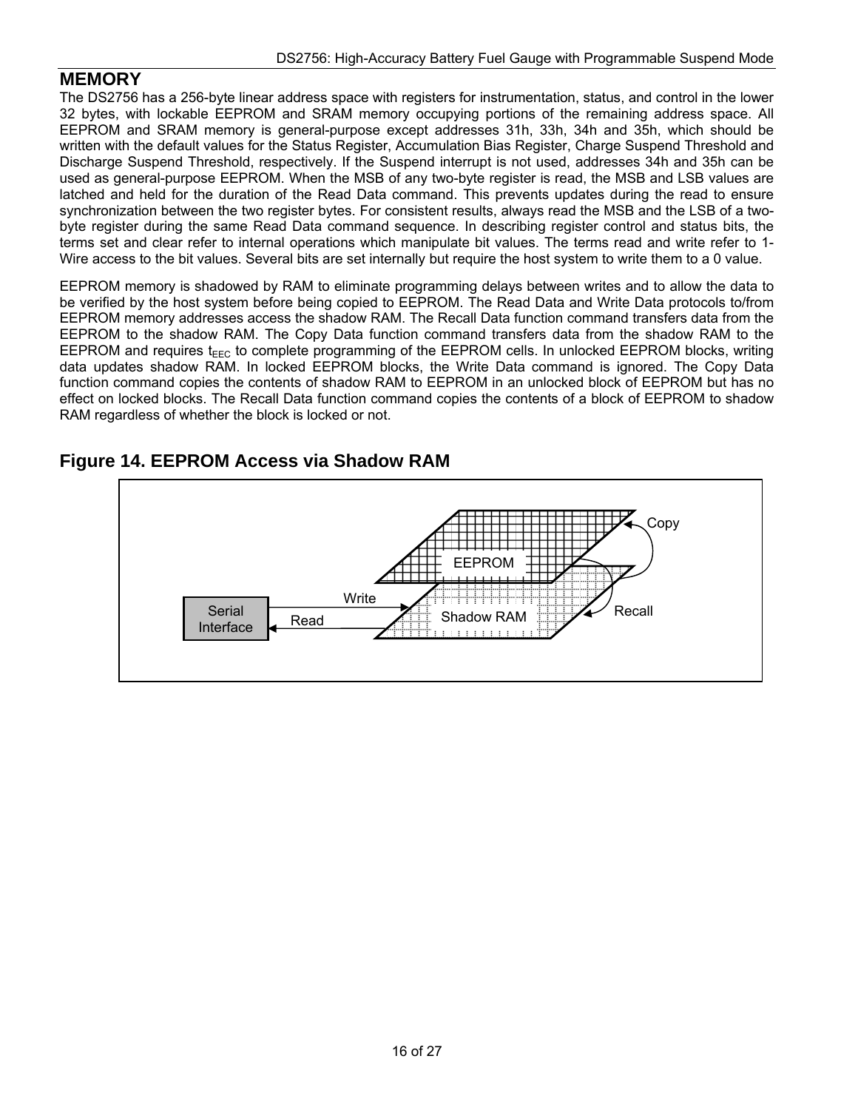#### **MEMORY**

The DS2756 has a 256-byte linear address space with registers for instrumentation, status, and control in the lower 32 bytes, with lockable EEPROM and SRAM memory occupying portions of the remaining address space. All EEPROM and SRAM memory is general-purpose except addresses 31h, 33h, 34h and 35h, which should be written with the default values for the Status Register, Accumulation Bias Register, Charge Suspend Threshold and Discharge Suspend Threshold, respectively. If the Suspend interrupt is not used, addresses 34h and 35h can be used as general-purpose EEPROM. When the MSB of any two-byte register is read, the MSB and LSB values are latched and held for the duration of the Read Data command. This prevents updates during the read to ensure synchronization between the two register bytes. For consistent results, always read the MSB and the LSB of a twobyte register during the same Read Data command sequence. In describing register control and status bits, the terms set and clear refer to internal operations which manipulate bit values. The terms read and write refer to 1- Wire access to the bit values. Several bits are set internally but require the host system to write them to a 0 value.

EEPROM memory is shadowed by RAM to eliminate programming delays between writes and to allow the data to be verified by the host system before being copied to EEPROM. The Read Data and Write Data protocols to/from EEPROM memory addresses access the shadow RAM. The Recall Data function command transfers data from the EEPROM to the shadow RAM. The Copy Data function command transfers data from the shadow RAM to the EEPROM and requires  $t_{\text{ERC}}$  to complete programming of the EEPROM cells. In unlocked EEPROM blocks, writing data updates shadow RAM. In locked EEPROM blocks, the Write Data command is ignored. The Copy Data function command copies the contents of shadow RAM to EEPROM in an unlocked block of EEPROM but has no effect on locked blocks. The Recall Data function command copies the contents of a block of EEPROM to shadow RAM regardless of whether the block is locked or not.

### **Figure 14. EEPROM Access via Shadow RAM**

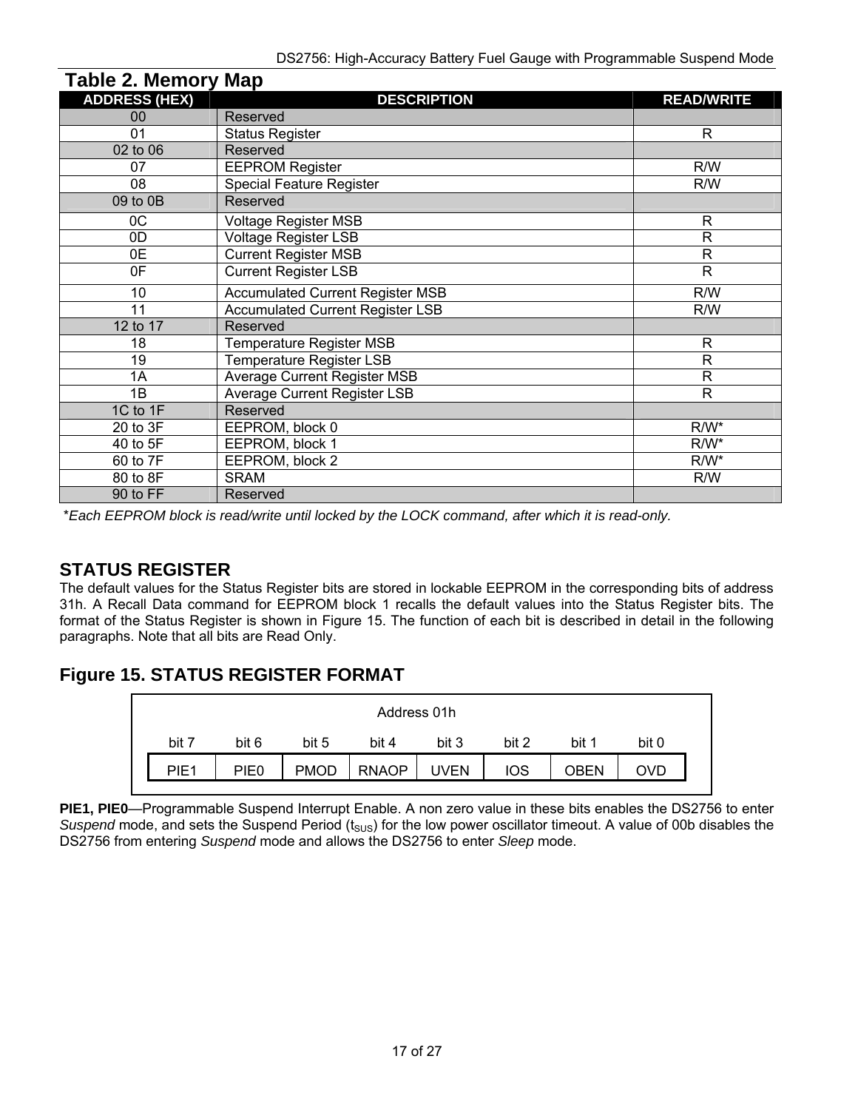| rapie z. memory map  |                                         |                   |
|----------------------|-----------------------------------------|-------------------|
| <b>ADDRESS (HEX)</b> | <b>DESCRIPTION</b>                      | <b>READ/WRITE</b> |
| 00                   | Reserved                                |                   |
| 01                   | <b>Status Register</b>                  | R.                |
| 02 to 06             | Reserved                                |                   |
| 07                   | <b>EEPROM Register</b>                  | R/W               |
| 08                   | <b>Special Feature Register</b>         | R/W               |
| 09 to 0B             | Reserved                                |                   |
| 0C                   | <b>Voltage Register MSB</b>             | R.                |
| 0D                   | Voltage Register LSB                    | R                 |
| 0E                   | <b>Current Register MSB</b>             | R                 |
| 0F                   | <b>Current Register LSB</b>             | R.                |
| 10 <sup>°</sup>      | <b>Accumulated Current Register MSB</b> | R/W               |
| 11                   | <b>Accumulated Current Register LSB</b> | R/W               |
| 12 to 17             | Reserved                                |                   |
| 18                   | Temperature Register MSB                | R                 |
| 19                   | Temperature Register LSB                | R                 |
| 1A                   | <b>Average Current Register MSB</b>     | R.                |
| 1B                   | <b>Average Current Register LSB</b>     | R.                |
| 1C to 1F             | Reserved                                |                   |
| 20 to 3F             | EEPROM, block 0                         | $R/W^*$           |
| 40 to 5F             | EEPROM, block 1                         | $R/W^*$           |
| 60 to 7F             | EEPROM, block 2                         | $R/W^*$           |
| 80 to 8F             | <b>SRAM</b>                             | R/W               |
| 90 to FF             | Reserved                                |                   |

\**Each EEPROM block is read/write until locked by the LOCK command, after which it is read-only.*

### **STATUS REGISTER**

 **Table 2. Memory Map**

The default values for the Status Register bits are stored in lockable EEPROM in the corresponding bits of address 31h. A Recall Data command for EEPROM block 1 recalls the default values into the Status Register bits. The format of the Status Register is shown in Figure 15. The function of each bit is described in detail in the following paragraphs. Note that all bits are Read Only.

# **Figure 15. STATUS REGISTER FORMAT**

| Address 01h      |       |             |              |             |            |       |       |  |  |  |
|------------------|-------|-------------|--------------|-------------|------------|-------|-------|--|--|--|
| bit 7            | bit 6 | bit 5       | bit 4        | bit 3       | bit 2      | bit 1 | bit 0 |  |  |  |
| PIE <sub>1</sub> | PIE0  | <b>PMOD</b> | <b>RNAOP</b> | <b>UVEN</b> | <b>IOS</b> | DBEN  | OVC   |  |  |  |

**PIE1, PIE0**—Programmable Suspend Interrupt Enable. A non zero value in these bits enables the DS2756 to enter *Suspend* mode, and sets the Suspend Period (t<sub>SUS</sub>) for the low power oscillator timeout. A value of 00b disables the DS2756 from entering *Suspend* mode and allows the DS2756 to enter *Sleep* mode.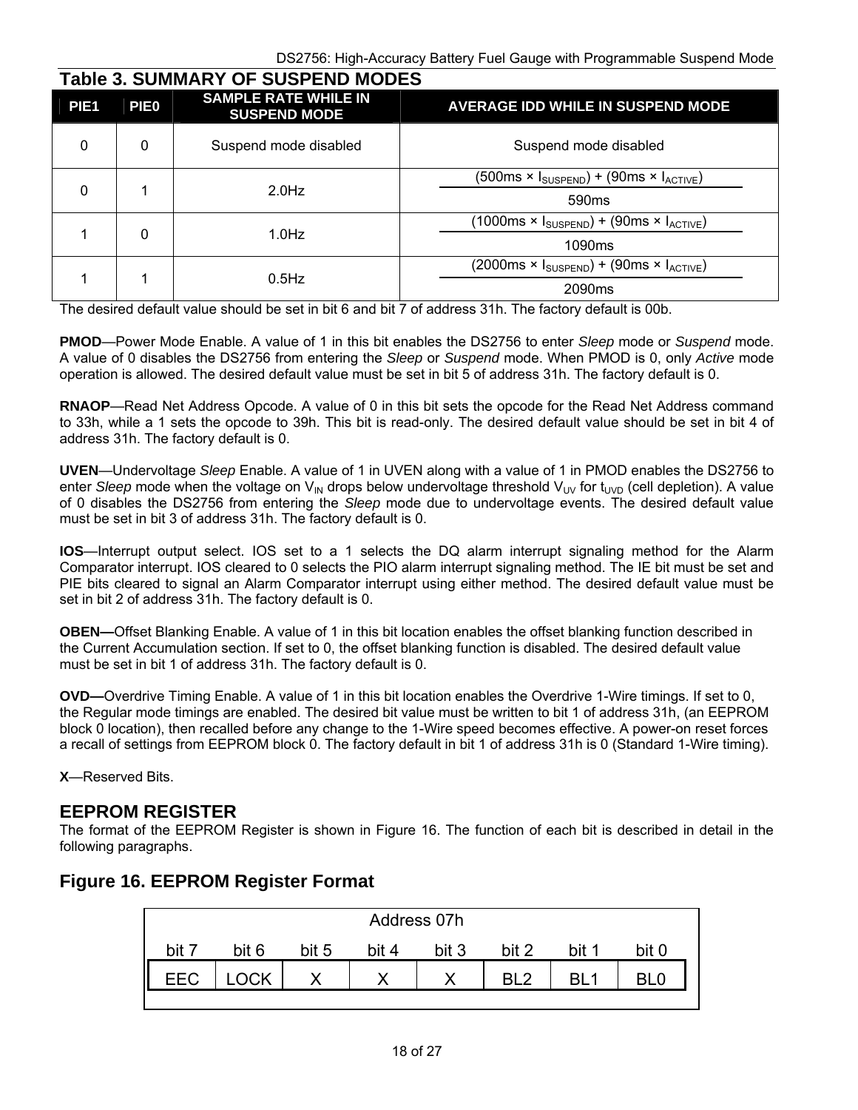| <b>Table 3. SUMMARY OF SUSPEND MODES</b><br>PIE <sub>1</sub> | <b>PIE0</b> | <b>SAMPLE RATE WHILE IN</b><br><b>SUSPEND MODE</b> | <b>AVERAGE IDD WHILE IN SUSPEND MODE</b>                                             |  |                                                                 |                                                                                      |
|--------------------------------------------------------------|-------------|----------------------------------------------------|--------------------------------------------------------------------------------------|--|-----------------------------------------------------------------|--------------------------------------------------------------------------------------|
| $\mathbf 0$                                                  | 0           | Suspend mode disabled                              | Suspend mode disabled                                                                |  |                                                                 |                                                                                      |
|                                                              |             |                                                    |                                                                                      |  | (500ms × I <sub>SUSPEND</sub> ) + (90ms × I <sub>ACTIVE</sub> ) |                                                                                      |
| $\mathbf 0$                                                  |             | $2.0$ Hz                                           | 590 <sub>ms</sub>                                                                    |  |                                                                 |                                                                                      |
| 1                                                            |             |                                                    |                                                                                      |  |                                                                 | $(1000\text{ms} \times I_{\text{SUSPEND}}) + (90\text{ms} \times I_{\text{ACTIVE}})$ |
|                                                              | 0           | $1.0$ Hz                                           | 1090 <sub>ms</sub>                                                                   |  |                                                                 |                                                                                      |
|                                                              |             |                                                    | $(2000\text{ms} \times I_{\text{SUSPEND}}) + (90\text{ms} \times I_{\text{ACTIVE}})$ |  |                                                                 |                                                                                      |
| 1                                                            |             | $0.5$ Hz                                           | 2090 <sub>ms</sub>                                                                   |  |                                                                 |                                                                                      |

The desired default value should be set in bit 6 and bit 7 of address 31h. The factory default is 00b.

**PMOD**—Power Mode Enable. A value of 1 in this bit enables the DS2756 to enter *Sleep* mode or *Suspend* mode. A value of 0 disables the DS2756 from entering the *Sleep* or *Suspend* mode. When PMOD is 0, only *Active* mode operation is allowed. The desired default value must be set in bit 5 of address 31h. The factory default is 0.

**RNAOP**—Read Net Address Opcode. A value of 0 in this bit sets the opcode for the Read Net Address command to 33h, while a 1 sets the opcode to 39h. This bit is read-only. The desired default value should be set in bit 4 of address 31h. The factory default is 0.

**UVEN**—Undervoltage *Sleep* Enable. A value of 1 in UVEN along with a value of 1 in PMOD enables the DS2756 to enter *Sleep* mode when the voltage on V<sub>IN</sub> drops below undervoltage threshold V<sub>UV</sub> for  $t_{\text{UVD}}$  (cell depletion). A value of 0 disables the DS2756 from entering the *Sleep* mode due to undervoltage events. The desired default value must be set in bit 3 of address 31h. The factory default is 0.

**IOS**—Interrupt output select. IOS set to a 1 selects the DQ alarm interrupt signaling method for the Alarm Comparator interrupt. IOS cleared to 0 selects the PIO alarm interrupt signaling method. The IE bit must be set and PIE bits cleared to signal an Alarm Comparator interrupt using either method. The desired default value must be set in bit 2 of address 31h. The factory default is 0.

**OBEN—**Offset Blanking Enable. A value of 1 in this bit location enables the offset blanking function described in the Current Accumulation section. If set to 0, the offset blanking function is disabled. The desired default value must be set in bit 1 of address 31h. The factory default is 0.

**OVD—**Overdrive Timing Enable. A value of 1 in this bit location enables the Overdrive 1-Wire timings. If set to 0, the Regular mode timings are enabled. The desired bit value must be written to bit 1 of address 31h, (an EEPROM block 0 location), then recalled before any change to the 1-Wire speed becomes effective. A power-on reset forces a recall of settings from EEPROM block 0. The factory default in bit 1 of address 31h is 0 (Standard 1-Wire timing).

**X**—Reserved Bits.

#### **EEPROM REGISTER**

The format of the EEPROM Register is shown in Figure 16. The function of each bit is described in detail in the following paragraphs.

# **Figure 16. EEPROM Register Format**

| Address 07h |           |       |       |       |       |       |       |  |  |
|-------------|-----------|-------|-------|-------|-------|-------|-------|--|--|
| bit i       | bit 6     | bit 5 | hit 4 | bit 3 | bit 2 | bit 1 | nit N |  |  |
| <b>EEC</b>  | <b>CK</b> |       | ∧     |       | פ ום  |       |       |  |  |
|             |           |       |       |       |       |       |       |  |  |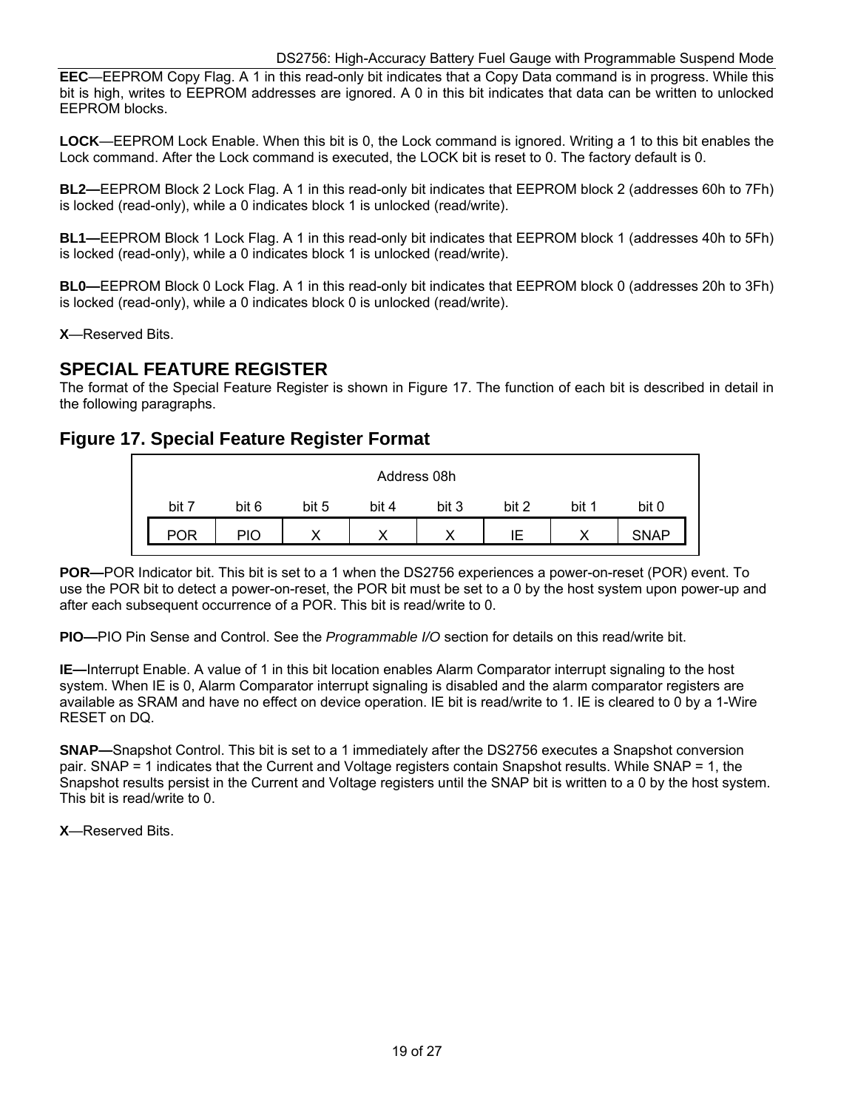**EEC**—EEPROM Copy Flag. A 1 in this read-only bit indicates that a Copy Data command is in progress. While this bit is high, writes to EEPROM addresses are ignored. A 0 in this bit indicates that data can be written to unlocked EEPROM blocks.

**LOCK**—EEPROM Lock Enable. When this bit is 0, the Lock command is ignored. Writing a 1 to this bit enables the Lock command. After the Lock command is executed, the LOCK bit is reset to 0. The factory default is 0.

**BL2—**EEPROM Block 2 Lock Flag. A 1 in this read-only bit indicates that EEPROM block 2 (addresses 60h to 7Fh) is locked (read-only), while a 0 indicates block 1 is unlocked (read/write).

**BL1—**EEPROM Block 1 Lock Flag. A 1 in this read-only bit indicates that EEPROM block 1 (addresses 40h to 5Fh) is locked (read-only), while a 0 indicates block 1 is unlocked (read/write).

**BL0—**EEPROM Block 0 Lock Flag. A 1 in this read-only bit indicates that EEPROM block 0 (addresses 20h to 3Fh) is locked (read-only), while a 0 indicates block 0 is unlocked (read/write).

**X**—Reserved Bits.

#### **SPECIAL FEATURE REGISTER**

The format of the Special Feature Register is shown in Figure 17. The function of each bit is described in detail in the following paragraphs.

#### **Figure 17. Special Feature Register Format**

| Address 08h |       |       |       |             |       |       |             |
|-------------|-------|-------|-------|-------------|-------|-------|-------------|
| bit 7       | bit 6 | bit 5 | bit 4 | bit 3       | bit 2 | bit 1 | bit 0       |
| POR         | PIO   | ◡     |       | $\check{ }$ | ΙE    | ∧     | <b>SNAP</b> |

**POR—**POR Indicator bit. This bit is set to a 1 when the DS2756 experiences a power-on-reset (POR) event. To use the POR bit to detect a power-on-reset, the POR bit must be set to a 0 by the host system upon power-up and after each subsequent occurrence of a POR. This bit is read/write to 0.

**PIO—**PIO Pin Sense and Control. See the *Programmable I/O* section for details on this read/write bit.

**IE—**Interrupt Enable. A value of 1 in this bit location enables Alarm Comparator interrupt signaling to the host system. When IE is 0, Alarm Comparator interrupt signaling is disabled and the alarm comparator registers are available as SRAM and have no effect on device operation. IE bit is read/write to 1. IE is cleared to 0 by a 1-Wire RESET on DQ.

**SNAP—**Snapshot Control. This bit is set to a 1 immediately after the DS2756 executes a Snapshot conversion pair. SNAP = 1 indicates that the Current and Voltage registers contain Snapshot results. While SNAP = 1, the Snapshot results persist in the Current and Voltage registers until the SNAP bit is written to a 0 by the host system. This bit is read/write to 0.

**X**—Reserved Bits.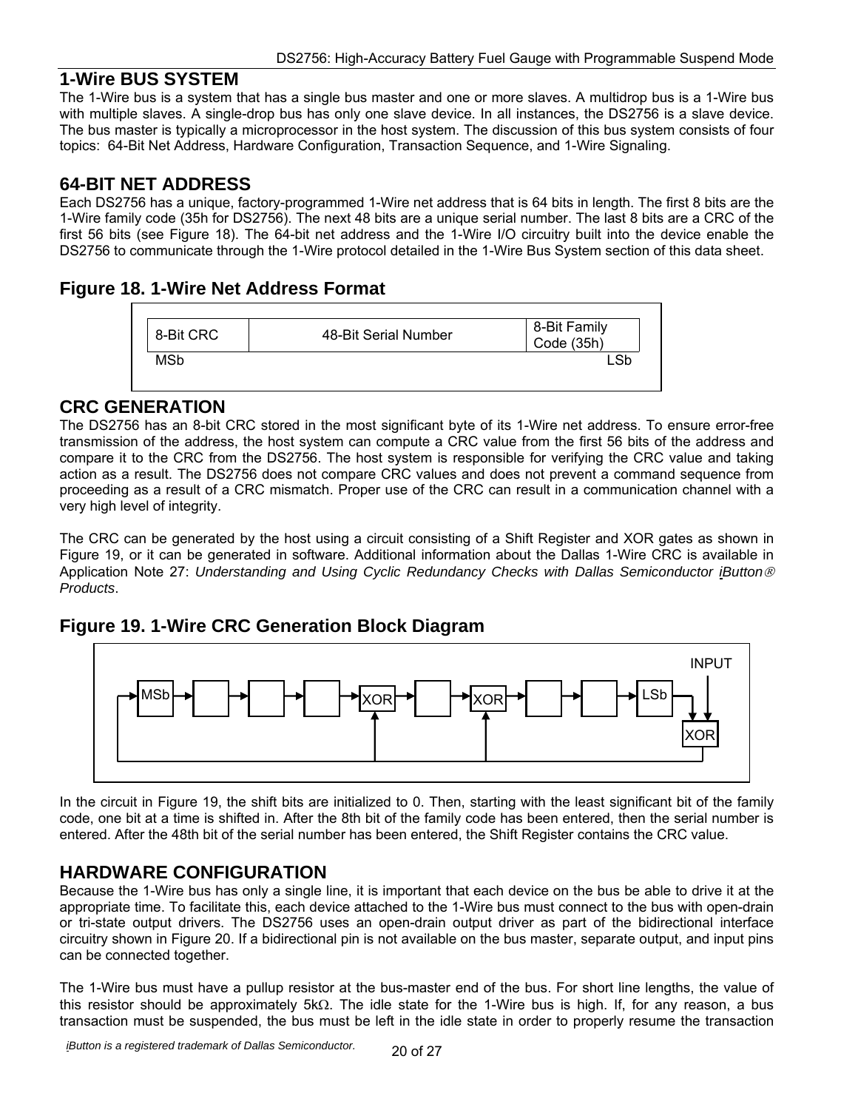#### **1-Wire BUS SYSTEM**

The 1-Wire bus is a system that has a single bus master and one or more slaves. A multidrop bus is a 1-Wire bus with multiple slaves. A single-drop bus has only one slave device. In all instances, the DS2756 is a slave device. The bus master is typically a microprocessor in the host system. The discussion of this bus system consists of four topics: 64-Bit Net Address, Hardware Configuration, Transaction Sequence, and 1-Wire Signaling.

#### **64-BIT NET ADDRESS**

Each DS2756 has a unique, factory-programmed 1-Wire net address that is 64 bits in length. The first 8 bits are the 1-Wire family code (35h for DS2756). The next 48 bits are a unique serial number. The last 8 bits are a CRC of the first 56 bits (see Figure 18). The 64-bit net address and the 1-Wire I/O circuitry built into the device enable the DS2756 to communicate through the 1-Wire protocol detailed in the 1-Wire Bus System section of this data sheet.

#### **Figure 18. 1-Wire Net Address Format**



#### **CRC GENERATION**

The DS2756 has an 8-bit CRC stored in the most significant byte of its 1-Wire net address. To ensure error-free transmission of the address, the host system can compute a CRC value from the first 56 bits of the address and compare it to the CRC from the DS2756. The host system is responsible for verifying the CRC value and taking action as a result. The DS2756 does not compare CRC values and does not prevent a command sequence from proceeding as a result of a CRC mismatch. Proper use of the CRC can result in a communication channel with a very high level of integrity.

The CRC can be generated by the host using a circuit consisting of a Shift Register and XOR gates as shown in Figure 19, or it can be generated in software. Additional information about the Dallas 1-Wire CRC is available in Application Note 27: *Understanding and Using Cyclic Redundancy Checks with Dallas Semiconductor iButton Products*.

#### **Figure 19. 1-Wire CRC Generation Block Diagram**



In the circuit in Figure 19, the shift bits are initialized to 0. Then, starting with the least significant bit of the family code, one bit at a time is shifted in. After the 8th bit of the family code has been entered, then the serial number is entered. After the 48th bit of the serial number has been entered, the Shift Register contains the CRC value.

### **HARDWARE CONFIGURATION**

Because the 1-Wire bus has only a single line, it is important that each device on the bus be able to drive it at the appropriate time. To facilitate this, each device attached to the 1-Wire bus must connect to the bus with open-drain or tri-state output drivers. The DS2756 uses an open-drain output driver as part of the bidirectional interface circuitry shown in Figure 20. If a bidirectional pin is not available on the bus master, separate output, and input pins can be connected together.

The 1-Wire bus must have a pullup resistor at the bus-master end of the bus. For short line lengths, the value of this resistor should be approximately  $5k\Omega$ . The idle state for the 1-Wire bus is high. If, for any reason, a bus transaction must be suspended, the bus must be left in the idle state in order to properly resume the transaction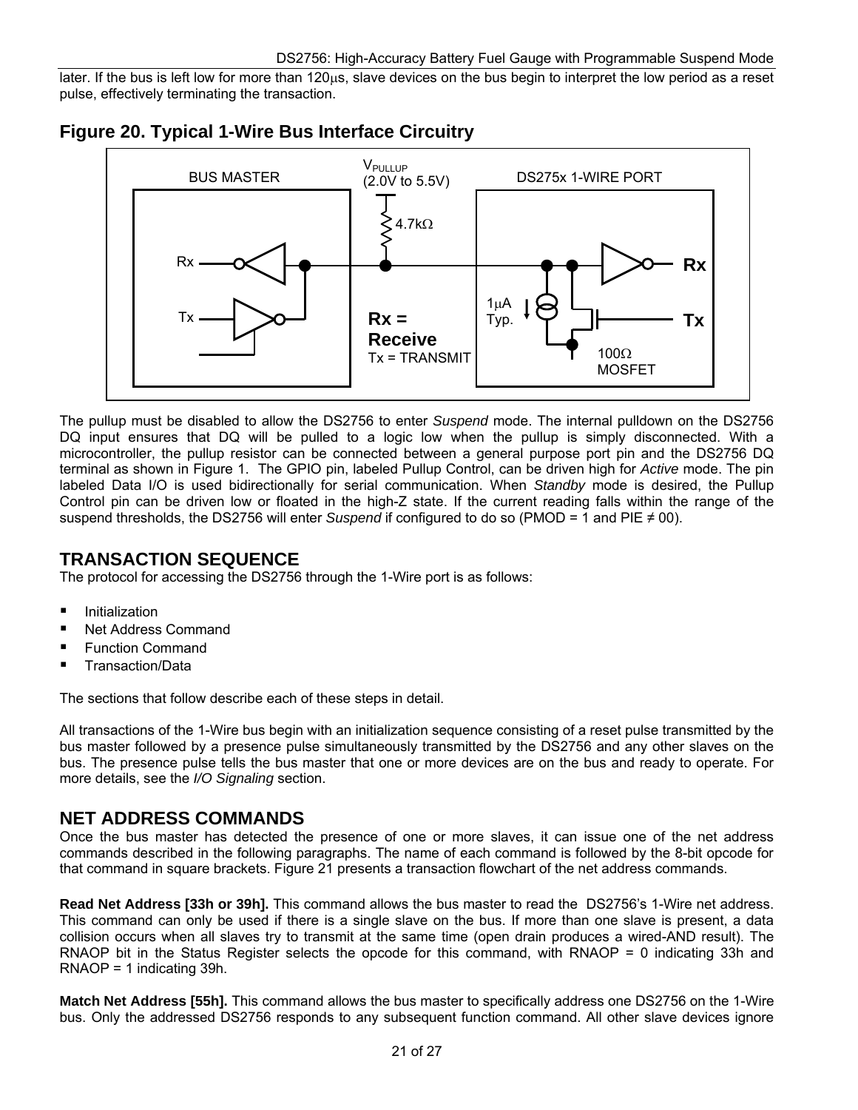later. If the bus is left low for more than 120µs, slave devices on the bus begin to interpret the low period as a reset pulse, effectively terminating the transaction.





The pullup must be disabled to allow the DS2756 to enter *Suspend* mode. The internal pulldown on the DS2756 DQ input ensures that DQ will be pulled to a logic low when the pullup is simply disconnected. With a microcontroller, the pullup resistor can be connected between a general purpose port pin and the DS2756 DQ terminal as shown in Figure 1. The GPIO pin, labeled Pullup Control, can be driven high for *Active* mode. The pin labeled Data I/O is used bidirectionally for serial communication. When *Standby* mode is desired, the Pullup Control pin can be driven low or floated in the high-Z state. If the current reading falls within the range of the suspend thresholds, the DS2756 will enter *Suspend* if configured to do so (PMOD = 1 and PIE ≠ 00).

### **TRANSACTION SEQUENCE**

The protocol for accessing the DS2756 through the 1-Wire port is as follows:

- Initialization
- Net Address Command
- Function Command
- Transaction/Data

The sections that follow describe each of these steps in detail.

All transactions of the 1-Wire bus begin with an initialization sequence consisting of a reset pulse transmitted by the bus master followed by a presence pulse simultaneously transmitted by the DS2756 and any other slaves on the bus. The presence pulse tells the bus master that one or more devices are on the bus and ready to operate. For more details, see the *I/O Signaling* section.

### **NET ADDRESS COMMANDS**

Once the bus master has detected the presence of one or more slaves, it can issue one of the net address commands described in the following paragraphs. The name of each command is followed by the 8-bit opcode for that command in square brackets. Figure 21 presents a transaction flowchart of the net address commands.

**Read Net Address [33h or 39h].** This command allows the bus master to read the DS2756's 1-Wire net address. This command can only be used if there is a single slave on the bus. If more than one slave is present, a data collision occurs when all slaves try to transmit at the same time (open drain produces a wired-AND result). The RNAOP bit in the Status Register selects the opcode for this command, with RNAOP = 0 indicating 33h and RNAOP = 1 indicating 39h.

**Match Net Address [55h].** This command allows the bus master to specifically address one DS2756 on the 1-Wire bus. Only the addressed DS2756 responds to any subsequent function command. All other slave devices ignore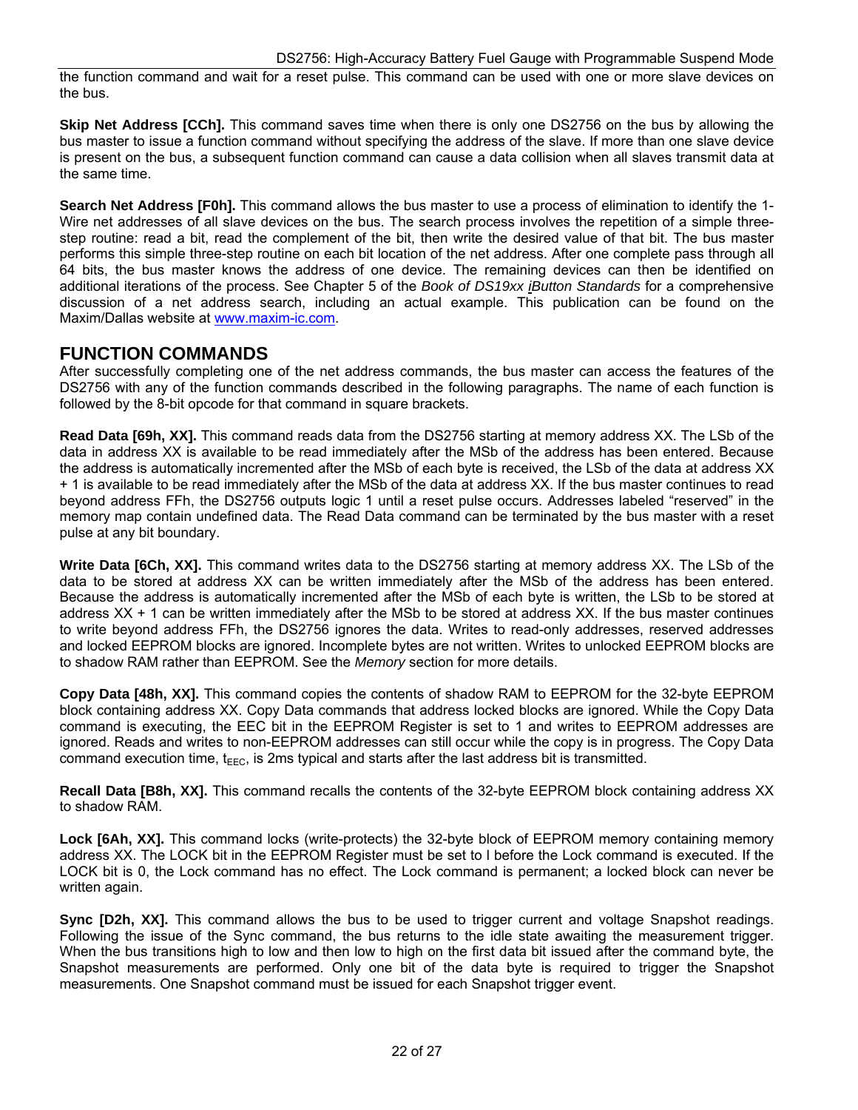the function command and wait for a reset pulse. This command can be used with one or more slave devices on the bus.

**Skip Net Address [CCh].** This command saves time when there is only one DS2756 on the bus by allowing the bus master to issue a function command without specifying the address of the slave. If more than one slave device is present on the bus, a subsequent function command can cause a data collision when all slaves transmit data at the same time.

**Search Net Address [F0h].** This command allows the bus master to use a process of elimination to identify the 1- Wire net addresses of all slave devices on the bus. The search process involves the repetition of a simple threestep routine: read a bit, read the complement of the bit, then write the desired value of that bit. The bus master performs this simple three-step routine on each bit location of the net address. After one complete pass through all 64 bits, the bus master knows the address of one device. The remaining devices can then be identified on additional iterations of the process. See Chapter 5 of the *Book of DS19xx iButton Standards* for a comprehensive discussion of a net address search, including an actual example. This publication can be found on the Maxim/Dallas website at [www.maxim-ic.com](http://www.maxim-ic.com/).

#### **FUNCTION COMMANDS**

After successfully completing one of the net address commands, the bus master can access the features of the DS2756 with any of the function commands described in the following paragraphs. The name of each function is followed by the 8-bit opcode for that command in square brackets.

**Read Data [69h, XX].** This command reads data from the DS2756 starting at memory address XX. The LSb of the data in address XX is available to be read immediately after the MSb of the address has been entered. Because the address is automatically incremented after the MSb of each byte is received, the LSb of the data at address XX + 1 is available to be read immediately after the MSb of the data at address XX. If the bus master continues to read beyond address FFh, the DS2756 outputs logic 1 until a reset pulse occurs. Addresses labeled "reserved" in the memory map contain undefined data. The Read Data command can be terminated by the bus master with a reset pulse at any bit boundary.

Write Data [6Ch, XX]. This command writes data to the DS2756 starting at memory address XX. The LSb of the data to be stored at address XX can be written immediately after the MSb of the address has been entered. Because the address is automatically incremented after the MSb of each byte is written, the LSb to be stored at address XX + 1 can be written immediately after the MSb to be stored at address XX. If the bus master continues to write beyond address FFh, the DS2756 ignores the data. Writes to read-only addresses, reserved addresses and locked EEPROM blocks are ignored. Incomplete bytes are not written. Writes to unlocked EEPROM blocks are to shadow RAM rather than EEPROM. See the *Memory* section for more details.

**Copy Data [48h, XX].** This command copies the contents of shadow RAM to EEPROM for the 32-byte EEPROM block containing address XX. Copy Data commands that address locked blocks are ignored. While the Copy Data command is executing, the EEC bit in the EEPROM Register is set to 1 and writes to EEPROM addresses are ignored. Reads and writes to non-EEPROM addresses can still occur while the copy is in progress. The Copy Data command execution time,  $t_{\text{FFC}}$ , is 2ms typical and starts after the last address bit is transmitted.

**Recall Data [B8h, XX].** This command recalls the contents of the 32-byte EEPROM block containing address XX to shadow RAM.

**Lock [6Ah, XX].** This command locks (write-protects) the 32-byte block of EEPROM memory containing memory address XX. The LOCK bit in the EEPROM Register must be set to l before the Lock command is executed. If the LOCK bit is 0, the Lock command has no effect. The Lock command is permanent; a locked block can never be written again.

**Sync [D2h, XX].** This command allows the bus to be used to trigger current and voltage Snapshot readings. Following the issue of the Sync command, the bus returns to the idle state awaiting the measurement trigger. When the bus transitions high to low and then low to high on the first data bit issued after the command byte, the Snapshot measurements are performed. Only one bit of the data byte is required to trigger the Snapshot measurements. One Snapshot command must be issued for each Snapshot trigger event.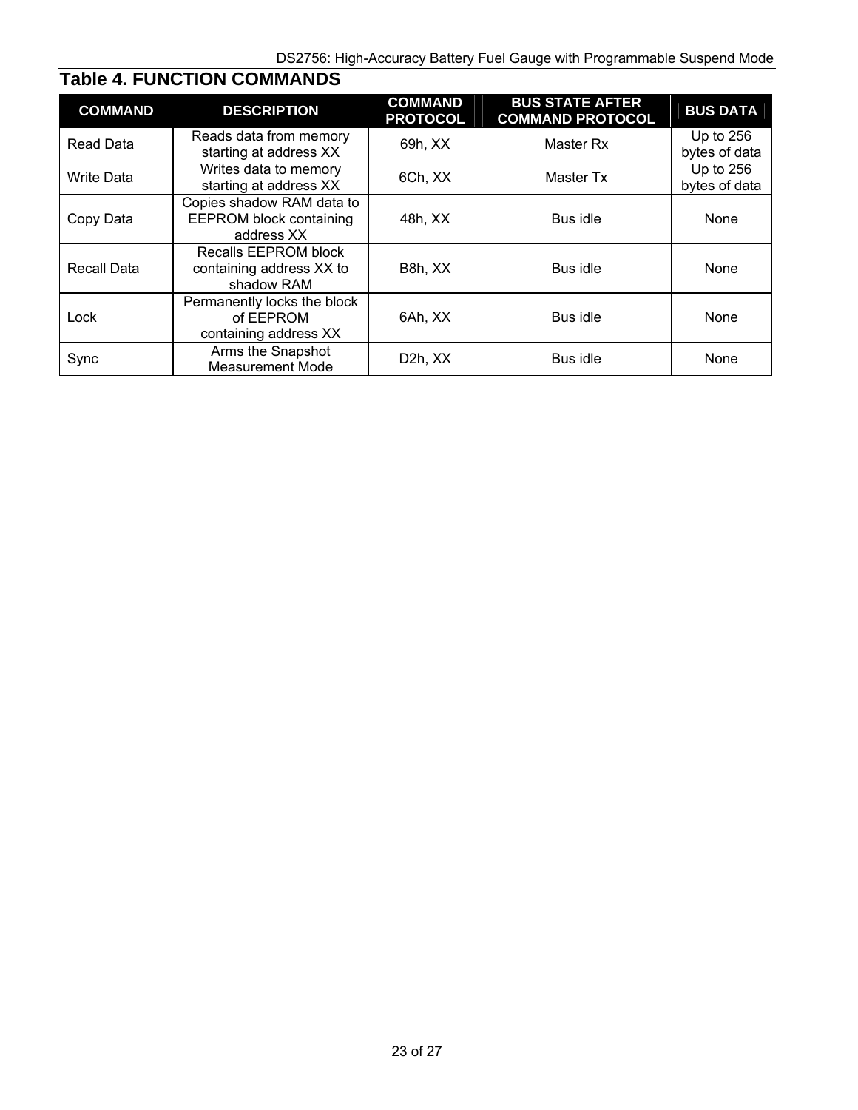| <b>COMMAND</b>    | <b>DESCRIPTION</b>                                                        | <b>COMMAND</b><br><b>PROTOCOL</b> | <b>BUS STATE AFTER</b><br><b>COMMAND PROTOCOL</b> | <b>BUS DATA</b>              |
|-------------------|---------------------------------------------------------------------------|-----------------------------------|---------------------------------------------------|------------------------------|
| Read Data         | Reads data from memory<br>starting at address XX                          | 69h, XX                           | Master Rx                                         | Up to $256$<br>bytes of data |
| <b>Write Data</b> | Writes data to memory<br>starting at address XX                           | 6Ch, XX                           | Master Tx                                         | Up to 256<br>bytes of data   |
| Copy Data         | Copies shadow RAM data to<br><b>EEPROM block containing</b><br>address XX | 48h, XX                           | Bus idle                                          | None                         |
| Recall Data       | Recalls EEPROM block<br>containing address XX to<br>shadow RAM            | B8h, XX                           | Bus idle                                          | None                         |
| Lock              | Permanently locks the block<br>of EEPROM<br>containing address XX         | 6Ah, XX                           | Bus idle                                          | None                         |
| Sync              | Arms the Snapshot<br><b>Measurement Mode</b>                              | D <sub>2</sub> h, X <sub>X</sub>  | Bus idle                                          | None                         |

# **Table 4. FUNCTION COMMANDS**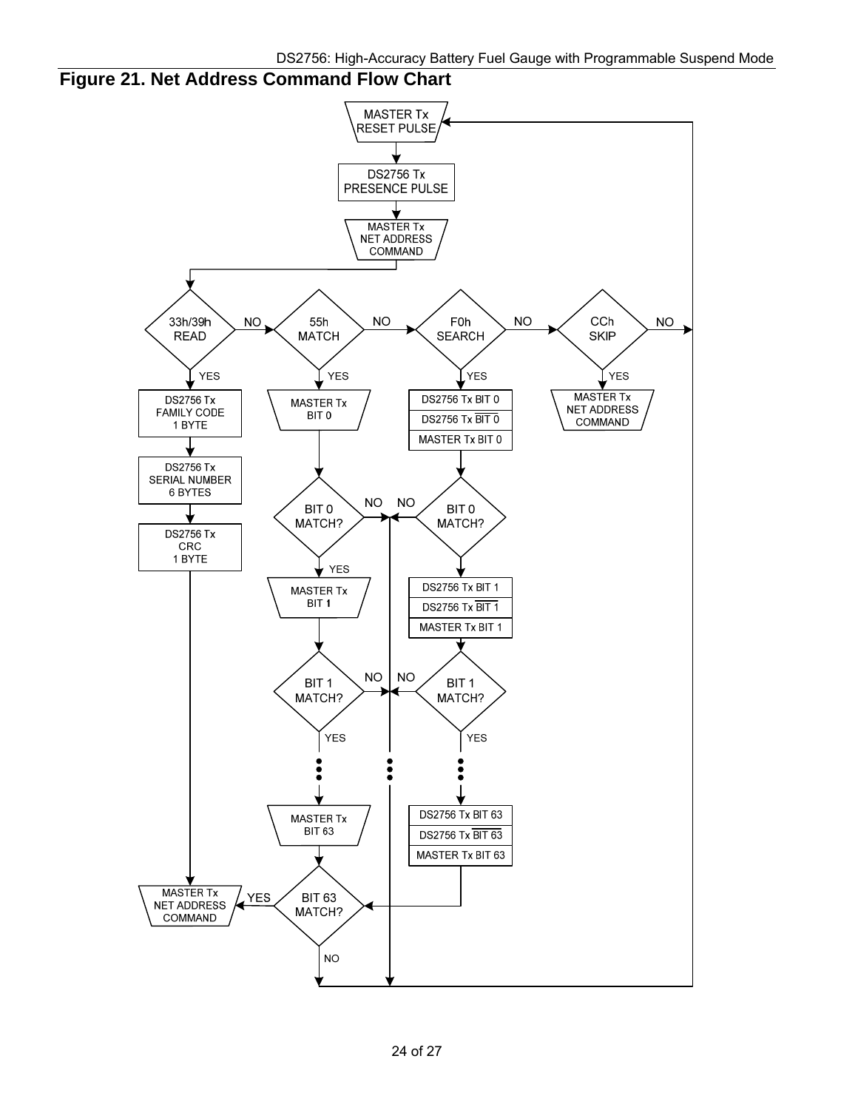

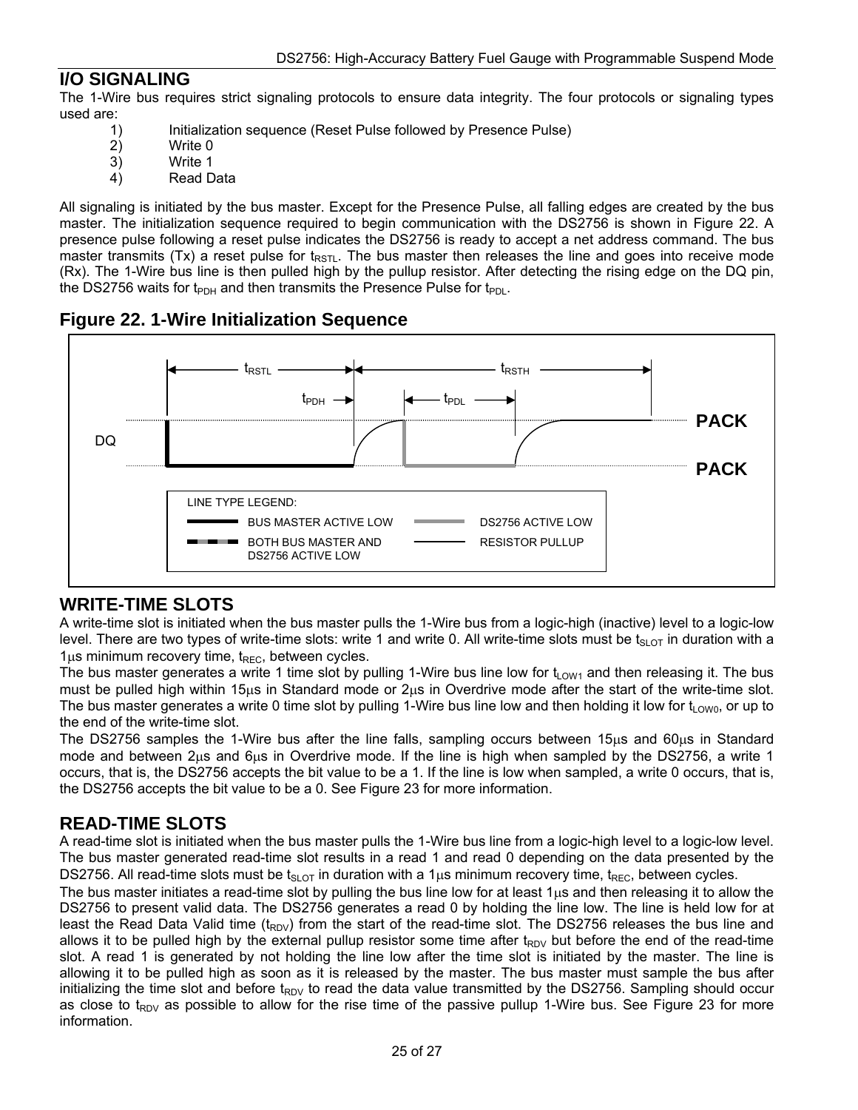### **I/O SIGNALING**

The 1-Wire bus requires strict signaling protocols to ensure data integrity. The four protocols or signaling types used are:

- 1) Initialization sequence (Reset Pulse followed by Presence Pulse)
- 2) Write 0<br>3) Write 1
- Write 1
- 4) Read Data

All signaling is initiated by the bus master. Except for the Presence Pulse, all falling edges are created by the bus master. The initialization sequence required to begin communication with the DS2756 is shown in Figure 22. A presence pulse following a reset pulse indicates the DS2756 is ready to accept a net address command. The bus master transmits (Tx) a reset pulse for  $t_{RSTL}$ . The bus master then releases the line and goes into receive mode (Rx). The 1-Wire bus line is then pulled high by the pullup resistor. After detecting the rising edge on the DQ pin, the DS2756 waits for t<sub>PDH</sub> and then transmits the Presence Pulse for t<sub>PDL</sub>.

#### **Figure 22. 1-Wire Initialization Sequence**



### **WRITE-TIME SLOTS**

A write-time slot is initiated when the bus master pulls the 1-Wire bus from a logic-high (inactive) level to a logic-low level. There are two types of write-time slots: write 1 and write 0. All write-time slots must be  $t_{SLOT}$  in duration with a  $1\mu s$  minimum recovery time,  $t_{\text{REC}}$ , between cycles.

The bus master generates a write 1 time slot by pulling 1-Wire bus line low for  $t_{\text{OW1}}$  and then releasing it. The bus must be pulled high within 15 $\mu$ s in Standard mode or  $2\mu s$  in Overdrive mode after the start of the write-time slot. The bus master generates a write 0 time slot by pulling 1-Wire bus line low and then holding it low for  $t_{1\text{OW0}}$ , or up to the end of the write-time slot.

The DS2756 samples the 1-Wire bus after the line falls, sampling occurs between 15 $\mu$ s and 60 $\mu$ s in Standard mode and between 2us and 6us in Overdrive mode. If the line is high when sampled by the DS2756, a write 1 occurs, that is, the DS2756 accepts the bit value to be a 1. If the line is low when sampled, a write 0 occurs, that is, the DS2756 accepts the bit value to be a 0. See Figure 23 for more information.

### **READ-TIME SLOTS**

A read-time slot is initiated when the bus master pulls the 1-Wire bus line from a logic-high level to a logic-low level. The bus master generated read-time slot results in a read 1 and read 0 depending on the data presented by the DS2756. All read-time slots must be  $t_{SLOT}$  in duration with a 1 $\mu$ s minimum recovery time,  $t_{REC}$ , between cycles.

The bus master initiates a read-time slot by pulling the bus line low for at least 1us and then releasing it to allow the DS2756 to present valid data. The DS2756 generates a read 0 by holding the line low. The line is held low for at least the Read Data Valid time ( $t_{RDV}$ ) from the start of the read-time slot. The DS2756 releases the bus line and allows it to be pulled high by the external pullup resistor some time after  $t_{RDV}$  but before the end of the read-time slot. A read 1 is generated by not holding the line low after the time slot is initiated by the master. The line is allowing it to be pulled high as soon as it is released by the master. The bus master must sample the bus after initializing the time slot and before  $t_{RDV}$  to read the data value transmitted by the DS2756. Sampling should occur as close to t<sub>RDV</sub> as possible to allow for the rise time of the passive pullup 1-Wire bus. See Figure 23 for more information.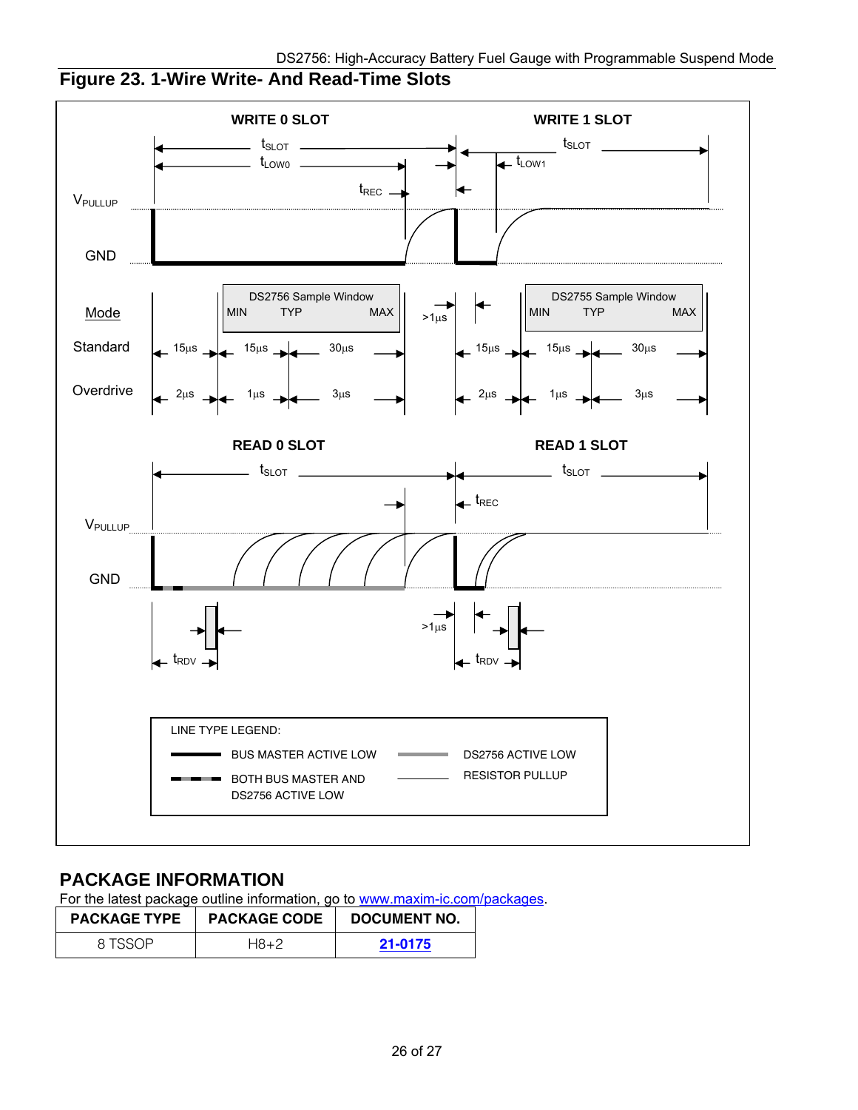

# **Figure 23. 1-Wire Write- And Read-Time Slots**

### **PACKAGE INFORMATION**

For the latest package outline information, go to [www.maxim-ic.com/packages](http://www.maxim-ic.com/packages).

| <b>PACKAGE TYPE</b> | <b>PACKAGE CODE</b> | DOCUMENT NO. |
|---------------------|---------------------|--------------|
| 8 ISSOP             | H8+2                | 21-0175      |